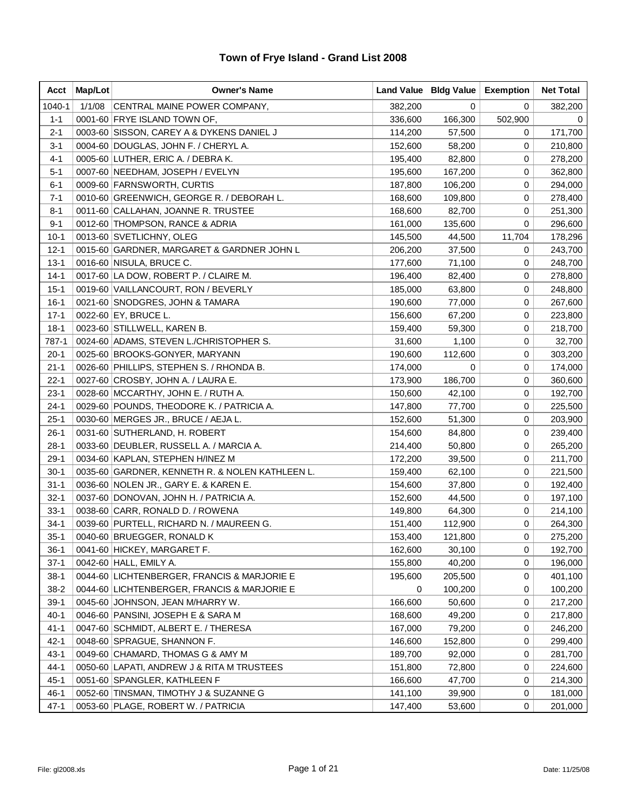| Acct     | Map/Lot | <b>Owner's Name</b>                             |         | Land Value   Bldg Value | <b>Exemption</b> | <b>Net Total</b> |
|----------|---------|-------------------------------------------------|---------|-------------------------|------------------|------------------|
| 1040-1   | 1/1/08  | CENTRAL MAINE POWER COMPANY,                    | 382,200 | 0                       | 0                | 382,200          |
| $1 - 1$  |         | 0001-60 FRYE ISLAND TOWN OF,                    | 336,600 | 166,300                 | 502,900          | 0                |
| $2 - 1$  |         | 0003-60 SISSON, CAREY A & DYKENS DANIEL J       | 114,200 | 57,500                  | 0                | 171,700          |
| 3-1      |         | 0004-60   DOUGLAS, JOHN F. / CHERYL A.          | 152,600 | 58,200                  | 0                | 210,800          |
| $4 - 1$  |         | 0005-60 LUTHER, ERIC A. / DEBRA K.              | 195,400 | 82,800                  | 0                | 278,200          |
| $5 - 1$  |         | 0007-60 NEEDHAM, JOSEPH / EVELYN                | 195,600 | 167,200                 | 0                | 362,800          |
| $6 - 1$  |         | 0009-60 FARNSWORTH, CURTIS                      | 187,800 | 106,200                 | 0                | 294,000          |
| 7-1      |         | 0010-60 GREENWICH, GEORGE R. / DEBORAH L.       | 168,600 | 109,800                 | 0                | 278,400          |
| $8 - 1$  |         | 0011-60 CALLAHAN, JOANNE R. TRUSTEE             | 168,600 | 82,700                  | 0                | 251,300          |
| $9 - 1$  |         | 0012-60 THOMPSON, RANCE & ADRIA                 | 161,000 | 135,600                 | 0                | 296,600          |
| $10-1$   |         | 0013-60 SVETLICHNY, OLEG                        | 145,500 | 44,500                  | 11,704           | 178,296          |
| $12 - 1$ |         | 0015-60 GARDNER, MARGARET & GARDNER JOHN L      | 206,200 | 37,500                  | 0                | 243,700          |
| $13 - 1$ |         | 0016-60 NISULA, BRUCE C.                        | 177,600 | 71,100                  | 0                | 248,700          |
| $14-1$   |         | 0017-60 LA DOW, ROBERT P. / CLAIRE M.           | 196,400 | 82,400                  | 0                | 278,800          |
| $15 - 1$ |         | 0019-60 VAILLANCOURT, RON / BEVERLY             | 185,000 | 63,800                  | 0                | 248,800          |
| $16-1$   |         | 0021-60 SNODGRES, JOHN & TAMARA                 | 190,600 | 77,000                  | 0                | 267,600          |
| $17 - 1$ |         | 0022-60 EY, BRUCE L.                            | 156,600 | 67,200                  | 0                | 223,800          |
| $18-1$   |         | 0023-60 STILLWELL, KAREN B.                     | 159,400 | 59,300                  | 0                | 218,700          |
| 787-1    |         | 0024-60 ADAMS, STEVEN L./CHRISTOPHER S.         | 31,600  | 1,100                   | 0                | 32,700           |
| $20-1$   |         | 0025-60 BROOKS-GONYER, MARYANN                  | 190,600 | 112,600                 | 0                | 303,200          |
| $21 - 1$ |         | 0026-60 PHILLIPS, STEPHEN S. / RHONDA B.        | 174,000 | 0                       | 0                | 174,000          |
| $22 - 1$ |         | 0027-60 CROSBY, JOHN A. / LAURA E.              | 173,900 | 186,700                 | 0                | 360,600          |
| $23-1$   |         | 0028-60 MCCARTHY, JOHN E. / RUTH A.             | 150,600 | 42,100                  | 0                | 192,700          |
| $24 - 1$ |         | 0029-60 POUNDS, THEODORE K. / PATRICIA A.       | 147,800 | 77,700                  | 0                | 225,500          |
| $25 - 1$ |         | 0030-60 MERGES JR., BRUCE / AEJA L.             | 152,600 | 51,300                  | 0                | 203,900          |
| $26-1$   |         | 0031-60 SUTHERLAND, H. ROBERT                   | 154,600 | 84,800                  | 0                | 239,400          |
| $28-1$   |         | 0033-60 DEUBLER, RUSSELL A. / MARCIA A.         | 214,400 | 50,800                  | 0                | 265,200          |
| $29-1$   |         | 0034-60 KAPLAN, STEPHEN H/INEZ M                | 172,200 | 39,500                  | 0                | 211,700          |
| $30-1$   |         | 0035-60 GARDNER, KENNETH R. & NOLEN KATHLEEN L. | 159,400 | 62,100                  | 0                | 221,500          |
| $31 - 1$ |         | 0036-60 NOLEN JR., GARY E. & KAREN E.           | 154,600 | 37,800                  | 0                | 192,400          |
| $32 - 1$ |         | 0037-60 DONOVAN, JOHN H. / PATRICIA A.          | 152,600 | 44,500                  | 0                | 197,100          |
| $33-1$   |         | 0038-60 CARR, RONALD D. / ROWENA                | 149,800 | 64,300                  | 0                | 214,100          |
| $34-1$   |         | 0039-60 PURTELL, RICHARD N. / MAUREEN G.        | 151,400 | 112,900                 | 0                | 264,300          |
| $35 - 1$ |         | 0040-60 BRUEGGER, RONALD K                      | 153,400 | 121,800                 | 0                | 275,200          |
| $36-1$   |         | 0041-60 HICKEY, MARGARET F.                     | 162,600 | 30,100                  | 0                | 192,700          |
| $37-1$   |         | 0042-60 HALL, EMILY A.                          | 155,800 | 40,200                  | 0                | 196,000          |
| $38-1$   |         | 0044-60 LICHTENBERGER, FRANCIS & MARJORIE E     | 195,600 | 205,500                 | 0                | 401,100          |
| $38-2$   |         | 0044-60 LICHTENBERGER, FRANCIS & MARJORIE E     | 0       | 100,200                 | 0                | 100,200          |
| $39-1$   |         | 0045-60 JOHNSON, JEAN M/HARRY W.                | 166,600 | 50,600                  | 0                | 217,200          |
| $40 - 1$ |         | 0046-60 PANSINI, JOSEPH E & SARA M              | 168,600 | 49,200                  | 0                | 217,800          |
| $41 - 1$ |         | 0047-60 SCHMIDT, ALBERT E. / THERESA            | 167,000 | 79,200                  | 0                | 246,200          |
| $42 - 1$ |         | 0048-60 SPRAGUE, SHANNON F.                     | 146,600 | 152,800                 | 0                | 299,400          |
| $43 - 1$ |         | 0049-60 CHAMARD, THOMAS G & AMY M               | 189,700 | 92,000                  | 0                | 281,700          |
| 44-1     |         | 0050-60 LAPATI, ANDREW J & RITA M TRUSTEES      | 151,800 | 72,800                  | 0                | 224,600          |
| $45 - 1$ |         | 0051-60 SPANGLER, KATHLEEN F                    | 166,600 | 47,700                  | 0                | 214,300          |
| $46 - 1$ |         | 0052-60 TINSMAN, TIMOTHY J & SUZANNE G          | 141,100 | 39,900                  | 0                | 181,000          |
| $47-1$   |         | 0053-60 PLAGE, ROBERT W. / PATRICIA             | 147,400 | 53,600                  | 0                | 201,000          |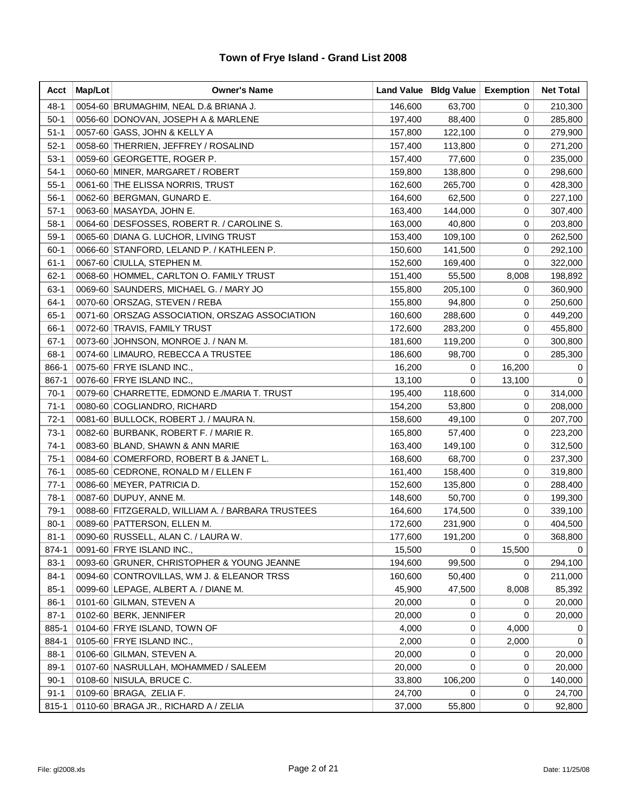| Acct     | Map/Lot | <b>Owner's Name</b>                               |         | Land Value   Bldg Value | <b>Exemption</b> | <b>Net Total</b> |
|----------|---------|---------------------------------------------------|---------|-------------------------|------------------|------------------|
| $48 - 1$ |         | 0054-60 BRUMAGHIM, NEAL D.& BRIANA J.             | 146,600 | 63,700                  | 0                | 210,300          |
| $50-1$   |         | 0056-60 DONOVAN, JOSEPH A & MARLENE               | 197,400 | 88,400                  | 0                | 285,800          |
| $51 - 1$ |         | 0057-60 GASS, JOHN & KELLY A                      | 157,800 | 122,100                 | 0                | 279,900          |
| $52-1$   |         | 0058-60 THERRIEN, JEFFREY / ROSALIND              | 157,400 | 113,800                 | 0                | 271,200          |
| $53-1$   |         | 0059-60 GEORGETTE, ROGER P.                       | 157,400 | 77,600                  | 0                | 235,000          |
| $54-1$   |         | 0060-60 MINER, MARGARET / ROBERT                  | 159,800 | 138,800                 | 0                | 298,600          |
| $55 - 1$ |         | 0061-60 THE ELISSA NORRIS, TRUST                  | 162,600 | 265,700                 | 0                | 428,300          |
| $56-1$   |         | 0062-60 BERGMAN, GUNARD E.                        | 164,600 | 62,500                  | 0                | 227,100          |
| $57-1$   |         | 0063-60 MASAYDA, JOHN E.                          | 163,400 | 144,000                 | 0                | 307,400          |
| $58-1$   |         | 0064-60 DESFOSSES, ROBERT R. / CAROLINE S.        | 163,000 | 40,800                  | 0                | 203,800          |
| $59-1$   |         | 0065-60 DIANA G. LUCHOR, LIVING TRUST             | 153,400 | 109,100                 | 0                | 262,500          |
| $60-1$   |         | 0066-60 STANFORD, LELAND P. / KATHLEEN P.         | 150,600 | 141,500                 | 0                | 292,100          |
| $61 - 1$ |         | 0067-60 CIULLA, STEPHEN M.                        | 152,600 | 169,400                 | 0                | 322,000          |
| $62 - 1$ |         | 0068-60 HOMMEL, CARLTON O. FAMILY TRUST           | 151,400 | 55,500                  | 8,008            | 198,892          |
| $63-1$   |         | 0069-60 SAUNDERS, MICHAEL G. / MARY JO            | 155,800 | 205,100                 | 0                | 360,900          |
| $64-1$   |         | 0070-60 ORSZAG, STEVEN / REBA                     | 155,800 | 94,800                  | 0                | 250,600          |
| $65-1$   |         | 0071-60 ORSZAG ASSOCIATION, ORSZAG ASSOCIATION    | 160,600 | 288,600                 | 0                | 449,200          |
| 66-1     |         | 0072-60 TRAVIS, FAMILY TRUST                      | 172,600 | 283,200                 | 0                | 455,800          |
| $67-1$   |         | 0073-60 JOHNSON, MONROE J. / NAN M.               | 181,600 | 119,200                 | 0                | 300,800          |
| $68-1$   |         | 0074-60 LIMAURO, REBECCA A TRUSTEE                | 186,600 | 98,700                  | 0                | 285,300          |
| 866-1    |         | 0075-60 FRYE ISLAND INC.,                         | 16,200  | 0                       | 16,200           | 0                |
| 867-1    |         | 0076-60 FRYE ISLAND INC.,                         | 13,100  | 0                       | 13,100           | 0                |
| $70-1$   |         | 0079-60 CHARRETTE, EDMOND E./MARIA T. TRUST       | 195,400 | 118,600                 | 0                | 314,000          |
| $71-1$   |         | 0080-60 COGLIANDRO, RICHARD                       | 154,200 | 53,800                  | 0                | 208,000          |
| $72-1$   |         | 0081-60 BULLOCK, ROBERT J. / MAURA N.             | 158,600 | 49,100                  | 0                | 207,700          |
| $73-1$   |         | 0082-60 BURBANK, ROBERT F. / MARIE R.             | 165,800 | 57,400                  | 0                | 223,200          |
| $74-1$   |         | 0083-60 BLAND, SHAWN & ANN MARIE                  | 163,400 | 149,100                 | 0                | 312,500          |
| $75-1$   |         | 0084-60 COMERFORD, ROBERT B & JANET L.            | 168,600 | 68,700                  | 0                | 237,300          |
| $76-1$   |         | 0085-60 CEDRONE, RONALD M / ELLEN F               | 161,400 | 158,400                 | 0                | 319,800          |
| $77-1$   |         | 0086-60 MEYER, PATRICIA D.                        | 152,600 | 135,800                 | 0                | 288,400          |
| $78-1$   |         | 0087-60 DUPUY, ANNE M.                            | 148,600 | 50,700                  | 0                | 199,300          |
| $79-1$   |         | 0088-60 FITZGERALD, WILLIAM A. / BARBARA TRUSTEES | 164,600 | 174,500                 | 0                | 339,100          |
| $80 - 1$ |         | 0089-60 PATTERSON, ELLEN M.                       | 172,600 | 231,900                 | 0                | 404,500          |
| $81 - 1$ |         | 0090-60 RUSSELL, ALAN C. / LAURA W.               | 177,600 | 191,200                 | 0                | 368,800          |
| 874-1    |         | 0091-60 FRYE ISLAND INC.,                         | 15,500  | 0                       | 15,500           | 0                |
| $83-1$   |         | 0093-60 GRUNER, CHRISTOPHER & YOUNG JEANNE        | 194,600 | 99,500                  | 0                | 294,100          |
| $84-1$   |         | 0094-60 CONTROVILLAS, WM J. & ELEANOR TRSS        | 160,600 | 50,400                  | 0                | 211,000          |
| $85-1$   |         | 0099-60 LEPAGE, ALBERT A. / DIANE M.              | 45,900  | 47,500                  | 8,008            | 85,392           |
| $86-1$   |         | 0101-60 GILMAN, STEVEN A                          | 20,000  | 0                       | 0                | 20,000           |
| $87-1$   |         | 0102-60 BERK, JENNIFER                            | 20,000  | 0                       | 0                | 20,000           |
| 885-1    |         | 0104-60 FRYE ISLAND, TOWN OF                      | 4,000   | 0                       | 4,000            | 0                |
| 884-1    |         | 0105-60 FRYE ISLAND INC.,                         | 2,000   | 0                       | 2,000            | $\Omega$         |
| $88-1$   |         | 0106-60 GILMAN, STEVEN A.                         | 20,000  | 0                       | 0                | 20,000           |
| $89-1$   |         | 0107-60 NASRULLAH, MOHAMMED / SALEEM              | 20,000  | 0                       | 0                | 20,000           |
| $90-1$   |         | 0108-60   NISULA, BRUCE C.                        | 33,800  | 106,200                 | 0                | 140,000          |
| $91 - 1$ |         | 0109-60 BRAGA, ZELIA F.                           | 24,700  | 0                       | 0                | 24,700           |
| 815-1    |         | 0110-60 BRAGA JR., RICHARD A / ZELIA              | 37,000  | 55,800                  | 0                | 92,800           |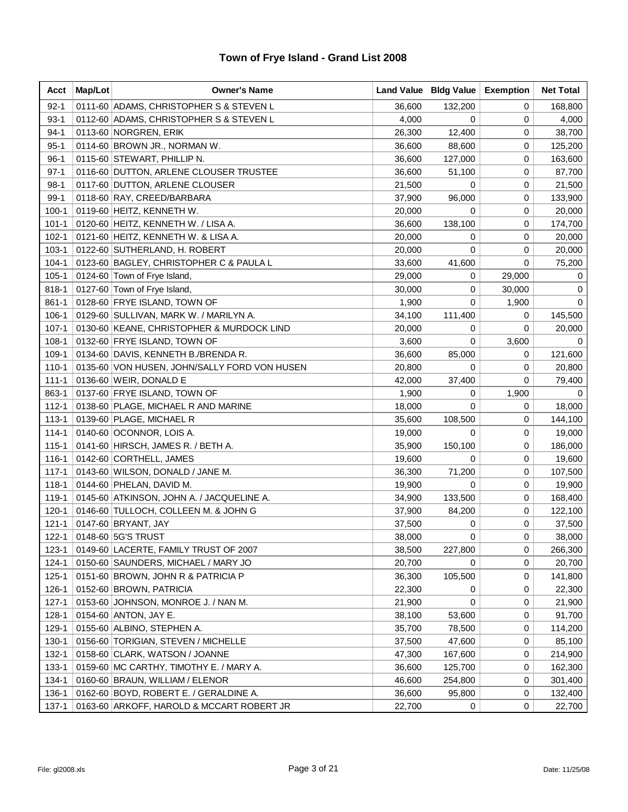| Acct      | Map/Lot | <b>Owner's Name</b>                          |        | Land Value   Bldg Value | <b>Exemption</b> | <b>Net Total</b> |
|-----------|---------|----------------------------------------------|--------|-------------------------|------------------|------------------|
| $92 - 1$  |         | 0111-60 ADAMS, CHRISTOPHER S & STEVEN L      | 36,600 | 132,200                 | 0                | 168,800          |
| $93-1$    |         | 0112-60 ADAMS, CHRISTOPHER S & STEVEN L      | 4,000  | 0                       | 0                | 4,000            |
| $94-1$    |         | 0113-60 NORGREN, ERIK                        | 26,300 | 12,400                  | 0                | 38,700           |
| 95-1      |         | 0114-60 BROWN JR., NORMAN W.                 | 36,600 | 88,600                  | 0                | 125,200          |
| $96-1$    |         | 0115-60 STEWART, PHILLIP N.                  | 36,600 | 127,000                 | 0                | 163,600          |
| $97-1$    |         | 0116-60 DUTTON, ARLENE CLOUSER TRUSTEE       | 36,600 | 51,100                  | 0                | 87,700           |
| $98-1$    |         | 0117-60 DUTTON, ARLENE CLOUSER               | 21,500 | 0                       | 0                | 21,500           |
| $99-1$    |         | 0118-60 RAY, CREED/BARBARA                   | 37,900 | 96,000                  | 0                | 133,900          |
| $100 - 1$ |         | 0119-60 HEITZ, KENNETH W.                    | 20,000 | 0                       | 0                | 20,000           |
| $101 - 1$ |         | 0120-60 HEITZ, KENNETH W. / LISA A.          | 36,600 | 138,100                 | 0                | 174,700          |
| $102 - 1$ |         | 0121-60 HEITZ, KENNETH W. & LISA A.          | 20,000 | 0                       | 0                | 20,000           |
| $103 - 1$ |         | 0122-60 SUTHERLAND, H. ROBERT                | 20,000 | 0                       | 0                | 20,000           |
| $104 - 1$ |         | 0123-60 BAGLEY, CHRISTOPHER C & PAULA L      | 33,600 | 41,600                  | 0                | 75,200           |
| $105 - 1$ |         | 0124-60 Town of Frye Island,                 | 29,000 | 0                       | 29,000           | 0                |
| 818-1     |         | 0127-60 Town of Frye Island,                 | 30,000 | 0                       | 30,000           | 0                |
| $861 - 1$ |         | 0128-60 FRYE ISLAND, TOWN OF                 | 1,900  | 0                       | 1,900            | $\Omega$         |
| $106-1$   |         | 0129-60 SULLIVAN, MARK W. / MARILYN A.       | 34,100 | 111,400                 | 0                | 145,500          |
| $107 - 1$ |         | 0130-60 KEANE, CHRISTOPHER & MURDOCK LIND    | 20,000 | 0                       | 0                | 20,000           |
| $108-1$   |         | 0132-60 FRYE ISLAND, TOWN OF                 | 3,600  | 0                       | 3,600            | 0                |
| $109-1$   |         | 0134-60 DAVIS, KENNETH B./BRENDA R.          | 36,600 | 85,000                  | 0                | 121,600          |
| $110 - 1$ |         | 0135-60 VON HUSEN, JOHN/SALLY FORD VON HUSEN | 20,800 | 0                       | 0                | 20,800           |
| $111 - 1$ |         | 0136-60 WEIR, DONALD E                       | 42,000 | 37,400                  | 0                | 79,400           |
| 863-1     |         | 0137-60 FRYE ISLAND, TOWN OF                 | 1,900  | 0                       | 1,900            | 0                |
| $112 - 1$ |         | 0138-60 PLAGE, MICHAEL R AND MARINE          | 18,000 | 0                       | 0                | 18,000           |
| $113 - 1$ |         | 0139-60 PLAGE, MICHAEL R                     | 35,600 | 108,500                 | 0                | 144,100          |
| $114 - 1$ |         | 0140-60 OCONNOR, LOIS A.                     | 19,000 | 0                       | 0                | 19,000           |
| $115 - 1$ |         | 0141-60 HIRSCH, JAMES R. / BETH A.           | 35,900 | 150,100                 | 0                | 186,000          |
| $116 - 1$ |         | 0142-60 CORTHELL, JAMES                      | 19,600 | 0                       | 0                | 19,600           |
| $117 - 1$ |         | 0143-60 WILSON, DONALD / JANE M.             | 36,300 | 71,200                  | 0                | 107,500          |
| $118 - 1$ |         | 0144-60 PHELAN, DAVID M.                     | 19,900 | 0                       | 0                | 19,900           |
| 119-1     |         | 0145-60 ATKINSON, JOHN A. / JACQUELINE A.    | 34,900 | 133,500                 | 0                | 168,400          |
| $120 - 1$ |         | 0146-60 TULLOCH, COLLEEN M. & JOHN G         | 37,900 | 84,200                  | 0                | 122,100          |
| $121 - 1$ |         | 0147-60 BRYANT, JAY                          | 37,500 | 0                       | 0                | 37,500           |
| $122 - 1$ |         | 0148-60 5G'S TRUST                           | 38,000 | 0                       | 0                | 38,000           |
| $123 - 1$ |         | 0149-60 LACERTE, FAMILY TRUST OF 2007        | 38,500 | 227,800                 | 0                | 266,300          |
| $124 - 1$ |         | 0150-60 SAUNDERS, MICHAEL / MARY JO          | 20,700 | 0                       | 0                | 20,700           |
| $125 - 1$ |         | 0151-60 BROWN, JOHN R & PATRICIA P           | 36,300 | 105,500                 | 0                | 141,800          |
| $126 - 1$ |         | 0152-60 BROWN, PATRICIA                      | 22,300 | 0                       | 0                | 22,300           |
| $127 - 1$ |         | 0153-60 JOHNSON, MONROE J. / NAN M.          | 21,900 | 0                       | 0                | 21,900           |
| $128 - 1$ |         | 0154-60 ANTON, JAY E.                        | 38,100 | 53,600                  | 0                | 91,700           |
| 129-1     |         | 0155-60 ALBINO, STEPHEN A.                   | 35,700 | 78,500                  | 0                | 114,200          |
| $130 - 1$ |         | 0156-60 TORIGIAN, STEVEN / MICHELLE          | 37,500 | 47,600                  | 0                | 85,100           |
| 132-1     |         | 0158-60 CLARK, WATSON / JOANNE               | 47,300 | 167,600                 | 0                | 214,900          |
| $133 - 1$ |         | 0159-60 MC CARTHY, TIMOTHY E. / MARY A.      | 36,600 | 125,700                 | 0                | 162,300          |
| $134 - 1$ |         | 0160-60 BRAUN, WILLIAM / ELENOR              | 46,600 | 254,800                 | 0                | 301,400          |
| 136-1     |         | 0162-60 BOYD, ROBERT E. / GERALDINE A.       | 36,600 | 95,800                  | 0                | 132,400          |
| $137 - 1$ |         | 0163-60 ARKOFF, HAROLD & MCCART ROBERT JR    | 22,700 | 0                       | 0                | 22,700           |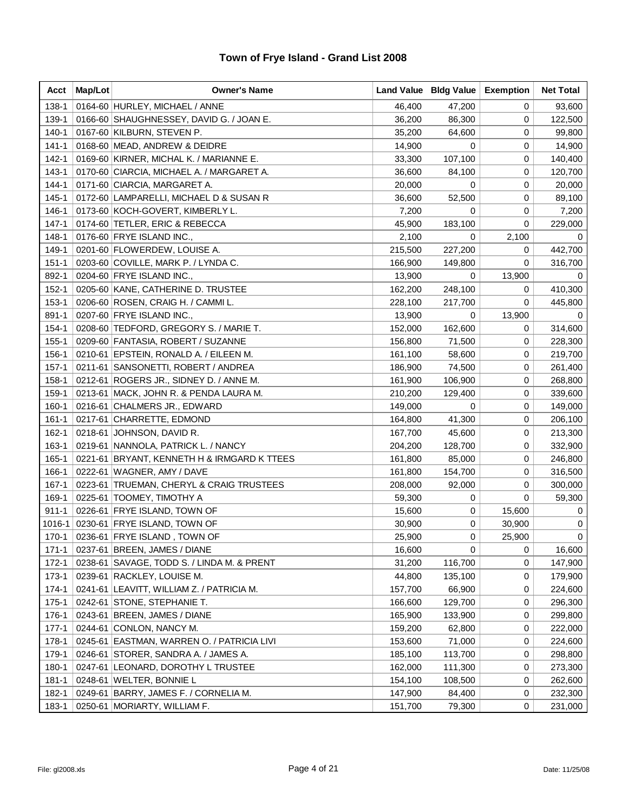| Acct      | Map/Lot | <b>Owner's Name</b>                         |         | Land Value   Bldg Value | <b>Exemption</b> | <b>Net Total</b> |
|-----------|---------|---------------------------------------------|---------|-------------------------|------------------|------------------|
| 138-1     |         | 0164-60 HURLEY, MICHAEL / ANNE              | 46,400  | 47,200                  | 0                | 93,600           |
| 139-1     |         | 0166-60 SHAUGHNESSEY, DAVID G. / JOAN E.    | 36,200  | 86,300                  | 0                | 122,500          |
| $140 - 1$ |         | 0167-60 KILBURN, STEVEN P.                  | 35,200  | 64,600                  | 0                | 99,800           |
| $141 - 1$ |         | 0168-60 MEAD, ANDREW & DEIDRE               | 14,900  | 0                       | 0                | 14,900           |
| $142 - 1$ |         | 0169-60 KIRNER, MICHAL K. / MARIANNE E.     | 33,300  | 107,100                 | 0                | 140,400          |
| $143 - 1$ |         | 0170-60 CIARCIA, MICHAEL A. / MARGARET A.   | 36,600  | 84,100                  | 0                | 120,700          |
| $144 - 1$ |         | 0171-60 CIARCIA, MARGARET A.                | 20,000  | 0                       | 0                | 20,000           |
| $145 - 1$ |         | 0172-60 LAMPARELLI, MICHAEL D & SUSAN R     | 36,600  | 52,500                  | 0                | 89,100           |
| 146-1     |         | 0173-60 KOCH-GOVERT, KIMBERLY L.            | 7,200   | 0                       | 0                | 7,200            |
| $147 - 1$ |         | 0174-60 TETLER, ERIC & REBECCA              | 45,900  | 183,100                 | 0                | 229,000          |
| 148-1     |         | 0176-60 FRYE ISLAND INC.,                   | 2,100   | 0                       | 2,100            | 0                |
| 149-1     |         | 0201-60 FLOWERDEW, LOUISE A.                | 215,500 | 227,200                 | 0                | 442,700          |
| $151 - 1$ |         | 0203-60 COVILLE, MARK P. / LYNDA C.         | 166,900 | 149,800                 | 0                | 316,700          |
| 892-1     |         | 0204-60 FRYE ISLAND INC.,                   | 13,900  | 0                       | 13,900           | 0                |
| $152 - 1$ |         | 0205-60 KANE, CATHERINE D. TRUSTEE          | 162,200 | 248,100                 | 0                | 410,300          |
| $153 - 1$ |         | 0206-60 ROSEN, CRAIG H. / CAMMI L.          | 228,100 | 217,700                 | 0                | 445,800          |
| 891-1     |         | 0207-60 FRYE ISLAND INC.,                   | 13,900  | 0                       | 13,900           | 0                |
| $154 - 1$ |         | 0208-60 TEDFORD, GREGORY S. / MARIE T.      | 152,000 | 162,600                 | 0                | 314,600          |
| $155 - 1$ |         | 0209-60 FANTASIA, ROBERT / SUZANNE          | 156,800 | 71,500                  | 0                | 228,300          |
| 156-1     |         | 0210-61 EPSTEIN, RONALD A. / EILEEN M.      | 161,100 | 58,600                  | 0                | 219,700          |
| $157 - 1$ |         | 0211-61 SANSONETTI, ROBERT / ANDREA         | 186,900 | 74,500                  | 0                | 261,400          |
| $158 - 1$ |         | 0212-61 ROGERS JR., SIDNEY D. / ANNE M.     | 161,900 | 106,900                 | 0                | 268,800          |
| 159-1     |         | 0213-61 MACK, JOHN R. & PENDA LAURA M.      | 210,200 | 129,400                 | 0                | 339,600          |
| $160 - 1$ |         | 0216-61 CHALMERS JR., EDWARD                | 149,000 | 0                       | 0                | 149,000          |
| $161 - 1$ |         | 0217-61 CHARRETTE, EDMOND                   | 164,800 | 41,300                  | 0                | 206,100          |
| $162 - 1$ |         | 0218-61 JOHNSON, DAVID R.                   | 167,700 | 45,600                  | 0                | 213,300          |
| 163-1     |         | 0219-61 NANNOLA, PATRICK L. / NANCY         | 204,200 | 128,700                 | 0                | 332,900          |
| 165-1     |         | 0221-61 BRYANT, KENNETH H & IRMGARD K TTEES | 161,800 | 85,000                  | 0                | 246,800          |
| 166-1     |         | 0222-61   WAGNER, AMY / DAVE                | 161,800 | 154,700                 | 0                | 316,500          |
| $167 - 1$ |         | 0223-61 TRUEMAN, CHERYL & CRAIG TRUSTEES    | 208,000 | 92,000                  | 0                | 300,000          |
| 169-1     |         | 0225-61 TOOMEY, TIMOTHY A                   | 59,300  | 0                       | 0                | 59,300           |
| $911 - 1$ |         | 0226-61 FRYE ISLAND, TOWN OF                | 15,600  | 0                       | 15,600           | 0                |
| 1016-1    |         | 0230-61 FRYE ISLAND, TOWN OF                | 30,900  | 0                       | 30,900           | 0                |
| 170-1     |         | 0236-61 FRYE ISLAND, TOWN OF                | 25,900  | 0                       | 25,900           | 0                |
| $171 - 1$ |         | 0237-61   BREEN, JAMES / DIANE              | 16,600  | 0                       | 0                | 16,600           |
| $172 - 1$ |         | 0238-61 SAVAGE, TODD S. / LINDA M. & PRENT  | 31,200  | 116,700                 | 0                | 147,900          |
| $173-1$   |         | 0239-61 RACKLEY, LOUISE M.                  | 44,800  | 135,100                 | 0                | 179,900          |
| $174-1$   |         | 0241-61   LEAVITT, WILLIAM Z. / PATRICIA M. | 157,700 | 66,900                  | 0                | 224,600          |
| $175 - 1$ |         | 0242-61 STONE, STEPHANIE T.                 | 166,600 | 129,700                 | 0                | 296,300          |
| 176-1     |         | 0243-61 BREEN, JAMES / DIANE                | 165,900 | 133,900                 | 0                | 299,800          |
| $177 - 1$ |         | 0244-61 CONLON, NANCY M.                    | 159,200 | 62,800                  | 0                | 222,000          |
| 178-1     |         | 0245-61 EASTMAN, WARREN O. / PATRICIA LIVI  | 153,600 | 71,000                  | 0                | 224,600          |
| 179-1     |         | 0246-61 STORER, SANDRA A. / JAMES A.        | 185,100 | 113,700                 | 0                | 298,800          |
| 180-1     |         | 0247-61 LEONARD, DOROTHY L TRUSTEE          | 162,000 | 111,300                 | 0                | 273,300          |
| $181 - 1$ |         | 0248-61 WELTER, BONNIE L                    | 154,100 | 108,500                 | 0                | 262,600          |
| 182-1     |         | 0249-61   BARRY, JAMES F. / CORNELIA M.     | 147,900 | 84,400                  | 0                | 232,300          |
| 183-1     |         | 0250-61 MORIARTY, WILLIAM F.                | 151,700 | 79,300                  | 0                | 231,000          |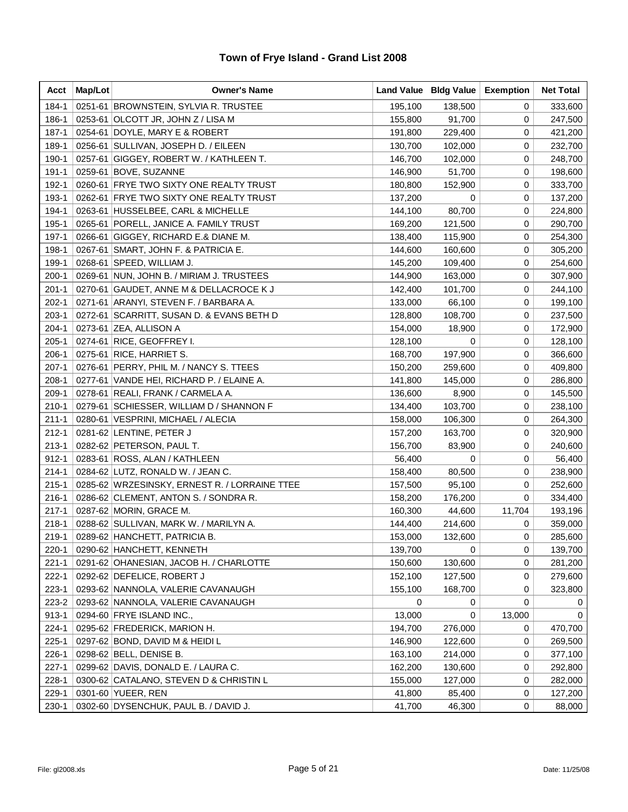| Acct      | Map/Lot | <b>Owner's Name</b>                           | Land Value | <b>Bldg Value</b> | <b>Exemption</b> | <b>Net Total</b> |
|-----------|---------|-----------------------------------------------|------------|-------------------|------------------|------------------|
| 184-1     |         | 0251-61 BROWNSTEIN, SYLVIA R. TRUSTEE         | 195,100    | 138,500           | 0                | 333,600          |
| 186-1     |         | 0253-61 OLCOTT JR, JOHN Z / LISA M            | 155,800    | 91,700            | 0                | 247,500          |
| $187 - 1$ |         | 0254-61 DOYLE, MARY E & ROBERT                | 191,800    | 229,400           | 0                | 421,200          |
| 189-1     |         | 0256-61 SULLIVAN, JOSEPH D. / EILEEN          | 130,700    | 102,000           | 0                | 232,700          |
| 190-1     |         | 0257-61 GIGGEY, ROBERT W. / KATHLEEN T.       | 146,700    | 102,000           | 0                | 248,700          |
| $191 - 1$ |         | 0259-61 BOVE, SUZANNE                         | 146,900    | 51,700            | 0                | 198,600          |
| 192-1     |         | 0260-61 FRYE TWO SIXTY ONE REALTY TRUST       | 180,800    | 152,900           | 0                | 333,700          |
| 193-1     |         | 0262-61 FRYE TWO SIXTY ONE REALTY TRUST       | 137,200    | 0                 | 0                | 137,200          |
| 194-1     |         | 0263-61 HUSSELBEE, CARL & MICHELLE            | 144,100    | 80,700            | 0                | 224,800          |
| 195-1     |         | 0265-61 PORELL, JANICE A. FAMILY TRUST        | 169,200    | 121,500           | 0                | 290,700          |
| 197-1     |         | 0266-61 GIGGEY, RICHARD E.& DIANE M.          | 138,400    | 115,900           | 0                | 254,300          |
| 198-1     |         | 0267-61 SMART, JOHN F. & PATRICIA E.          | 144,600    | 160,600           | 0                | 305,200          |
| 199-1     |         | 0268-61 SPEED, WILLIAM J.                     | 145,200    | 109,400           | 0                | 254,600          |
| $200-1$   |         | 0269-61 NUN, JOHN B. / MIRIAM J. TRUSTEES     | 144,900    | 163,000           | 0                | 307,900          |
| $201 - 1$ |         | 0270-61 GAUDET, ANNE M & DELLACROCE K J       | 142,400    | 101,700           | 0                | 244,100          |
| $202 - 1$ |         | 0271-61 ARANYI, STEVEN F. / BARBARA A.        | 133,000    | 66,100            | 0                | 199,100          |
| $203-1$   |         | 0272-61 SCARRITT, SUSAN D. & EVANS BETH D     | 128,800    | 108,700           | 0                | 237,500          |
| $204 - 1$ |         | 0273-61 ZEA, ALLISON A                        | 154,000    | 18,900            | 0                | 172,900          |
| $205 - 1$ |         | 0274-61 RICE, GEOFFREY I.                     | 128,100    | 0                 | 0                | 128,100          |
| $206-1$   |         | 0275-61 RICE, HARRIET S.                      | 168,700    | 197,900           | 0                | 366,600          |
| $207-1$   |         | 0276-61 PERRY, PHIL M. / NANCY S. TTEES       | 150,200    | 259,600           | 0                | 409,800          |
| $208-1$   |         | 0277-61 VANDE HEI, RICHARD P. / ELAINE A.     | 141,800    | 145,000           | 0                | 286,800          |
| $209-1$   |         | 0278-61 REALI, FRANK / CARMELA A.             | 136,600    | 8,900             | 0                | 145,500          |
| $210 - 1$ |         | 0279-61 SCHIESSER, WILLIAM D / SHANNON F      | 134,400    | 103,700           | 0                | 238,100          |
| $211 - 1$ |         | 0280-61 VESPRINI, MICHAEL / ALECIA            | 158,000    | 106,300           | 0                | 264,300          |
| $212 - 1$ |         | 0281-62 LENTINE, PETER J                      | 157,200    | 163,700           | 0                | 320,900          |
| $213 - 1$ |         | 0282-62 PETERSON, PAUL T.                     | 156,700    | 83,900            | 0                | 240,600          |
| $912 - 1$ |         | 0283-61 ROSS, ALAN / KATHLEEN                 | 56,400     | 0                 | 0                | 56,400           |
| $214 - 1$ |         | 0284-62 LUTZ, RONALD W. / JEAN C.             | 158,400    | 80,500            | 0                | 238,900          |
| $215 - 1$ |         | 0285-62 WRZESINSKY, ERNEST R. / LORRAINE TTEE | 157,500    | 95,100            | 0                | 252,600          |
| $216 - 1$ |         | 0286-62 CLEMENT, ANTON S. / SONDRA R.         | 158,200    | 176,200           | 0                | 334,400          |
| $217 - 1$ |         | 0287-62 MORIN, GRACE M.                       | 160,300    | 44,600            | 11,704           | 193,196          |
| $218 - 1$ |         | 0288-62 SULLIVAN, MARK W. / MARILYN A.        | 144,400    | 214,600           | 0                | 359,000          |
| $219-1$   |         | 0289-62 HANCHETT, PATRICIA B.                 | 153,000    | 132,600           | 0                | 285,600          |
| $220 - 1$ |         | 0290-62 HANCHETT, KENNETH                     | 139,700    | 0                 | 0                | 139,700          |
| $221 - 1$ |         | 0291-62 OHANESIAN, JACOB H. / CHARLOTTE       | 150,600    | 130,600           | 0                | 281,200          |
| $222 - 1$ |         | 0292-62 DEFELICE, ROBERT J                    | 152,100    | 127,500           | 0                | 279,600          |
| $223-1$   |         | 0293-62 NANNOLA, VALERIE CAVANAUGH            | 155,100    | 168,700           | 0                | 323,800          |
| 223-2     |         | 0293-62 NANNOLA, VALERIE CAVANAUGH            | 0          | 0                 | 0                | 0                |
| $913 - 1$ |         | 0294-60 FRYE ISLAND INC.,                     | 13,000     | 0                 | 13,000           | $\Omega$         |
| $224 - 1$ |         | 0295-62 FREDERICK, MARION H.                  | 194,700    | 276,000           | 0                | 470,700          |
| $225 - 1$ |         | 0297-62 BOND, DAVID M & HEIDI L               | 146,900    | 122,600           | 0                | 269,500          |
| 226-1     |         | 0298-62 BELL, DENISE B.                       | 163,100    | 214,000           | 0                | 377,100          |
| $227 - 1$ |         | 0299-62 DAVIS, DONALD E. / LAURA C.           | 162,200    | 130,600           | 0                | 292,800          |
| $228-1$   |         | 0300-62 CATALANO, STEVEN D & CHRISTIN L       | 155,000    | 127,000           | 0                | 282,000          |
| 229-1     |         | 0301-60 YUEER, REN                            | 41,800     | 85,400            | 0                | 127,200          |
| $230 - 1$ |         | 0302-60 DYSENCHUK, PAUL B. / DAVID J.         | 41,700     | 46,300            | 0                | 88,000           |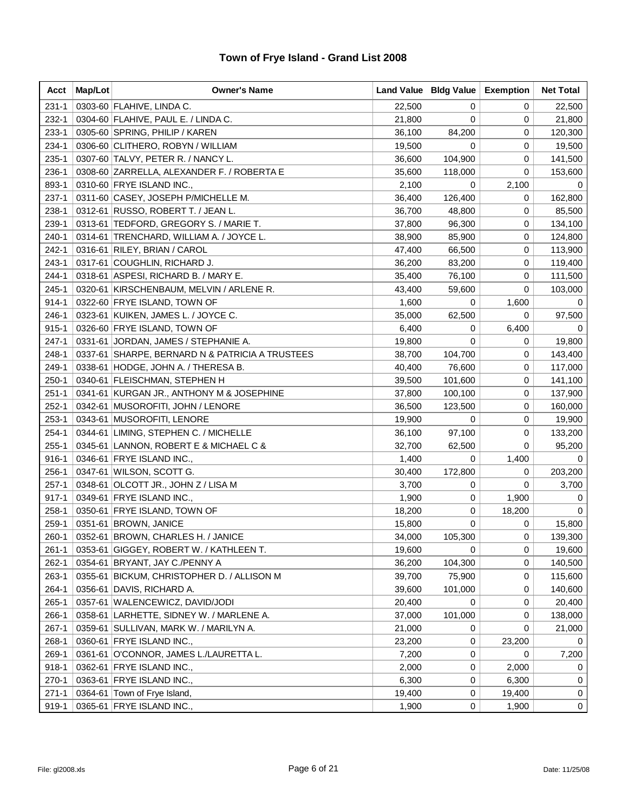| Acct      | Map/Lot | <b>Owner's Name</b>                             | Land Value   Bldg Value |         | <b>Exemption</b> | <b>Net Total</b> |
|-----------|---------|-------------------------------------------------|-------------------------|---------|------------------|------------------|
| $231 - 1$ |         | 0303-60 FLAHIVE, LINDA C.                       | 22,500                  | 0       | 0                | 22,500           |
| 232-1     |         | 0304-60 FLAHIVE, PAUL E. / LINDA C.             | 21,800                  | 0       | 0                | 21,800           |
| $233 - 1$ |         | 0305-60 SPRING, PHILIP / KAREN                  | 36,100                  | 84,200  | 0                | 120,300          |
| 234-1     |         | 0306-60 CLITHERO, ROBYN / WILLIAM               | 19,500                  | 0       | 0                | 19,500           |
| $235-1$   |         | 0307-60 TALVY, PETER R. / NANCY L.              | 36,600                  | 104,900 | 0                | 141,500          |
| 236-1     |         | 0308-60 ZARRELLA, ALEXANDER F. / ROBERTA E      | 35,600                  | 118,000 | 0                | 153,600          |
| 893-1     |         | 0310-60 FRYE ISLAND INC.,                       | 2,100                   | 0       | 2,100            | 0                |
| $237-1$   |         | 0311-60 CASEY, JOSEPH P/MICHELLE M.             | 36,400                  | 126,400 | 0                | 162,800          |
| 238-1     |         | 0312-61 RUSSO, ROBERT T. / JEAN L.              | 36,700                  | 48,800  | 0                | 85,500           |
| 239-1     |         | 0313-61 TEDFORD, GREGORY S. / MARIE T.          | 37,800                  | 96,300  | 0                | 134,100          |
| $240-1$   |         | 0314-61 TRENCHARD, WILLIAM A. / JOYCE L.        | 38,900                  | 85,900  | 0                | 124,800          |
| $242 - 1$ |         | 0316-61   RILEY, BRIAN / CAROL                  | 47,400                  | 66,500  | 0                | 113,900          |
| $243 - 1$ |         | 0317-61 COUGHLIN, RICHARD J.                    | 36,200                  | 83,200  | 0                | 119,400          |
| $244 - 1$ |         | 0318-61 ASPESI, RICHARD B. / MARY E.            | 35,400                  | 76,100  | 0                | 111,500          |
| 245-1     |         | 0320-61 KIRSCHENBAUM, MELVIN / ARLENE R.        | 43,400                  | 59,600  | 0                | 103,000          |
| $914 - 1$ |         | 0322-60 FRYE ISLAND, TOWN OF                    | 1,600                   | 0       | 1,600            | 0                |
| 246-1     |         | 0323-61 KUIKEN, JAMES L. / JOYCE C.             | 35,000                  | 62,500  | 0                | 97,500           |
| $915 - 1$ |         | 0326-60 FRYE ISLAND, TOWN OF                    | 6,400                   | 0       | 6,400            | 0                |
| 247-1     |         | 0331-61 JORDAN, JAMES / STEPHANIE A.            | 19,800                  | 0       | 0                | 19,800           |
| 248-1     |         | 0337-61 SHARPE, BERNARD N & PATRICIA A TRUSTEES | 38,700                  | 104,700 | 0                | 143,400          |
| 249-1     |         | 0338-61 HODGE, JOHN A. / THERESA B.             | 40,400                  | 76,600  | 0                | 117,000          |
| $250 - 1$ |         | 0340-61 FLEISCHMAN, STEPHEN H                   | 39,500                  | 101,600 | 0                | 141,100          |
| $251 - 1$ |         | 0341-61 KURGAN JR., ANTHONY M & JOSEPHINE       | 37,800                  | 100,100 | 0                | 137,900          |
| $252 - 1$ |         | 0342-61 MUSOROFITI, JOHN / LENORE               | 36,500                  | 123,500 | 0                | 160,000          |
| $253-1$   |         | 0343-61 MUSOROFITI, LENORE                      | 19,900                  | 0       | 0                | 19,900           |
| $254-1$   |         | 0344-61 LIMING, STEPHEN C. / MICHELLE           | 36,100                  | 97,100  | 0                | 133,200          |
| $255 - 1$ |         | 0345-61 LANNON, ROBERT E & MICHAEL C &          | 32,700                  | 62,500  | 0                | 95,200           |
| $916 - 1$ |         | 0346-61 FRYE ISLAND INC.,                       | 1,400                   | 0       | 1,400            | 0                |
| 256-1     |         | 0347-61 WILSON, SCOTT G.                        | 30,400                  | 172,800 | 0                | 203,200          |
| $257-1$   |         | 0348-61 OLCOTT JR., JOHN Z / LISA M             | 3,700                   | 0       | 0                | 3,700            |
| $917 - 1$ |         | 0349-61 FRYE ISLAND INC.,                       | 1,900                   | 0       | 1,900            | 0                |
| $258-1$   |         | 0350-61 FRYE ISLAND, TOWN OF                    | 18,200                  | 0       | 18,200           | $\mathbf 0$      |
| 259-1     |         | 0351-61 BROWN, JANICE                           | 15,800                  | 0       | 0                | 15,800           |
| 260-1     |         | 0352-61 BROWN, CHARLES H. / JANICE              | 34,000                  | 105,300 | 0                | 139,300          |
| $261 - 1$ |         | 0353-61 GIGGEY, ROBERT W. / KATHLEEN T.         | 19,600                  | 0       | 0                | 19,600           |
| $262-1$   |         | 0354-61 BRYANT, JAY C./PENNY A                  | 36,200                  | 104,300 | 0                | 140,500          |
| $263-1$   |         | 0355-61 BICKUM, CHRISTOPHER D. / ALLISON M      | 39,700                  | 75,900  | 0                | 115,600          |
| 264-1     |         | 0356-61 DAVIS, RICHARD A.                       | 39,600                  | 101,000 | 0                | 140,600          |
| $265-1$   | 0357-61 | WALENCEWICZ, DAVID/JODI                         | 20,400                  | 0       | 0                | 20,400           |
| 266-1     |         | 0358-61 LARHETTE, SIDNEY W. / MARLENE A.        | 37,000                  | 101,000 | 0                | 138,000          |
| $267-1$   |         | 0359-61 SULLIVAN, MARK W. / MARILYN A.          | 21,000                  | 0       | 0                | 21,000           |
| 268-1     |         | 0360-61 FRYE ISLAND INC.,                       | 23,200                  | 0       | 23,200           | 0                |
| 269-1     |         | 0361-61 O'CONNOR, JAMES L./LAURETTA L.          | 7,200                   | 0       | 0                | 7,200            |
| $918 - 1$ |         | 0362-61 FRYE ISLAND INC.,                       | 2,000                   | 0       | 2,000            | 0                |
| 270-1     |         | 0363-61 FRYE ISLAND INC.,                       | 6,300                   | 0       | 6,300            | 0                |
| $271 - 1$ | 0364-61 | Town of Frye Island,                            | 19,400                  | 0       | 19,400           | 0                |
| $919-1$   |         | 0365-61 FRYE ISLAND INC.,                       | 1,900                   | 0       | 1,900            | $\mathbf 0$      |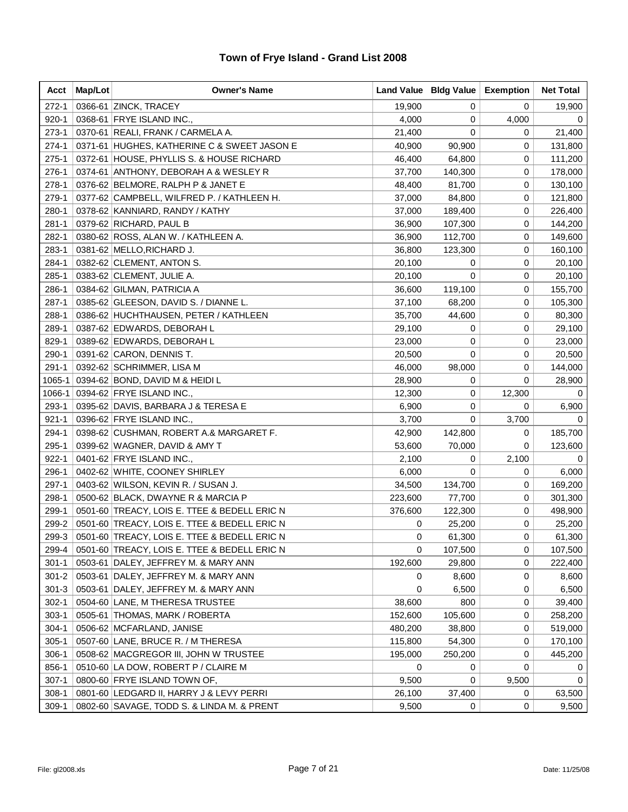| Acct      | Map/Lot | <b>Owner's Name</b>                          |         | Land Value   Bldg Value | <b>Exemption</b> | <b>Net Total</b> |
|-----------|---------|----------------------------------------------|---------|-------------------------|------------------|------------------|
| $272-1$   |         | 0366-61 ZINCK, TRACEY                        | 19,900  | 0                       | 0                | 19,900           |
| $920 - 1$ |         | 0368-61 FRYE ISLAND INC.,                    | 4,000   | 0                       | 4,000            | 0                |
| $273-1$   |         | 0370-61 REALI, FRANK / CARMELA A.            | 21,400  | 0                       | 0                | 21,400           |
| 274-1     |         | 0371-61 HUGHES, KATHERINE C & SWEET JASON E  | 40,900  | 90,900                  | 0                | 131,800          |
| $275-1$   |         | 0372-61 HOUSE, PHYLLIS S. & HOUSE RICHARD    | 46,400  | 64,800                  | 0                | 111,200          |
| 276-1     |         | 0374-61 ANTHONY, DEBORAH A & WESLEY R        | 37,700  | 140,300                 | 0                | 178,000          |
| 278-1     |         | 0376-62 BELMORE, RALPH P & JANET E           | 48,400  | 81,700                  | 0                | 130,100          |
| 279-1     |         | 0377-62 CAMPBELL, WILFRED P. / KATHLEEN H.   | 37,000  | 84,800                  | 0                | 121,800          |
| 280-1     |         | 0378-62 KANNIARD, RANDY / KATHY              | 37,000  | 189,400                 | 0                | 226,400          |
| $281 - 1$ |         | 0379-62 RICHARD, PAUL B                      | 36,900  | 107,300                 | 0                | 144,200          |
| 282-1     |         | 0380-62 ROSS, ALAN W. / KATHLEEN A.          | 36,900  | 112,700                 | 0                | 149,600          |
| 283-1     |         | 0381-62 MELLO, RICHARD J.                    | 36,800  | 123,300                 | 0                | 160,100          |
| 284-1     |         | 0382-62 CLEMENT, ANTON S.                    | 20,100  | 0                       | 0                | 20,100           |
| 285-1     |         | 0383-62 CLEMENT, JULIE A.                    | 20,100  | 0                       | 0                | 20,100           |
| 286-1     |         | 0384-62 GILMAN, PATRICIA A                   | 36,600  | 119,100                 | 0                | 155,700          |
| 287-1     |         | 0385-62 GLEESON, DAVID S. / DIANNE L.        | 37,100  | 68,200                  | 0                | 105,300          |
| 288-1     |         | 0386-62 HUCHTHAUSEN, PETER / KATHLEEN        | 35,700  | 44,600                  | 0                | 80,300           |
| 289-1     |         | 0387-62 EDWARDS, DEBORAH L                   | 29,100  | 0                       | 0                | 29,100           |
| 829-1     |         | 0389-62 EDWARDS, DEBORAH L                   | 23,000  | 0                       | 0                | 23,000           |
| 290-1     |         | 0391-62 CARON, DENNIS T.                     | 20,500  | 0                       | 0                | 20,500           |
| $291 - 1$ |         | 0392-62 SCHRIMMER, LISA M                    | 46,000  | 98,000                  | 0                | 144,000          |
| 1065-1    |         | 0394-62 BOND, DAVID M & HEIDI L              | 28,900  | 0                       | 0                | 28,900           |
| 1066-1    |         | 0394-62 FRYE ISLAND INC.,                    | 12,300  | 0                       | 12,300           | 0                |
| 293-1     |         | 0395-62 DAVIS, BARBARA J & TERESA E          | 6,900   | 0                       | 0                | 6,900            |
| $921 - 1$ |         | 0396-62 FRYE ISLAND INC.,                    | 3,700   | 0                       | 3,700            | 0                |
| 294-1     |         | 0398-62 CUSHMAN, ROBERT A.& MARGARET F.      | 42,900  | 142,800                 | 0                | 185,700          |
| 295-1     |         | 0399-62 WAGNER, DAVID & AMY T                | 53,600  | 70,000                  | 0                | 123,600          |
| $922 - 1$ |         | 0401-62 FRYE ISLAND INC.,                    | 2,100   | 0                       | 2,100            | 0                |
| 296-1     |         | 0402-62 WHITE, COONEY SHIRLEY                | 6,000   | 0                       | 0                | 6,000            |
| $297-1$   |         | 0403-62 WILSON, KEVIN R. / SUSAN J.          | 34,500  | 134,700                 | 0                | 169,200          |
| 298-1     |         | 0500-62 BLACK, DWAYNE R & MARCIA P           | 223,600 | 77,700                  | 0                | 301,300          |
| 299-1     |         | 0501-60 TREACY, LOIS E. TTEE & BEDELL ERIC N | 376,600 | 122,300                 | 0                | 498,900          |
| 299-2     |         | 0501-60 TREACY, LOIS E. TTEE & BEDELL ERIC N | 0       | 25,200                  | 0                | 25,200           |
| 299-3     |         | 0501-60 TREACY, LOIS E. TTEE & BEDELL ERIC N | 0       | 61,300                  | 0                | 61,300           |
| 299-4     |         | 0501-60 TREACY, LOIS E. TTEE & BEDELL ERIC N | 0       | 107,500                 | 0                | 107,500          |
| $301 - 1$ |         | 0503-61 DALEY, JEFFREY M. & MARY ANN         | 192,600 | 29,800                  | 0                | 222,400          |
| $301 - 2$ |         | 0503-61   DALEY, JEFFREY M. & MARY ANN       | 0       | 8,600                   | 0                | 8,600            |
| $301 - 3$ |         | 0503-61 DALEY, JEFFREY M. & MARY ANN         | 0       | 6,500                   | 0                | 6,500            |
| $302 - 1$ |         | 0504-60 LANE, M THERESA TRUSTEE              | 38,600  | 800                     | 0                | 39,400           |
| $303-1$   |         | 0505-61 THOMAS, MARK / ROBERTA               | 152,600 | 105,600                 | 0                | 258,200          |
| $304 - 1$ |         | 0506-62 MCFARLAND, JANISE                    | 480,200 | 38,800                  | 0                | 519,000          |
| $305-1$   |         | 0507-60 LANE, BRUCE R. / M THERESA           | 115,800 | 54,300                  | 0                | 170,100          |
| $306-1$   |         | 0508-62 MACGREGOR III, JOHN W TRUSTEE        | 195,000 | 250,200                 | 0                | 445,200          |
| 856-1     |         | 0510-60 LA DOW, ROBERT P / CLAIRE M          | 0       | 0                       | 0                | 0                |
| $307-1$   |         | 0800-60 FRYE ISLAND TOWN OF,                 | 9,500   | 0                       | 9,500            | 0                |
| $308-1$   |         | 0801-60   LEDGARD II, HARRY J & LEVY PERRI   | 26,100  | 37,400                  | 0                | 63,500           |
| $309-1$   |         | 0802-60 SAVAGE, TODD S. & LINDA M. & PRENT   | 9,500   | 0                       | 0                | 9,500            |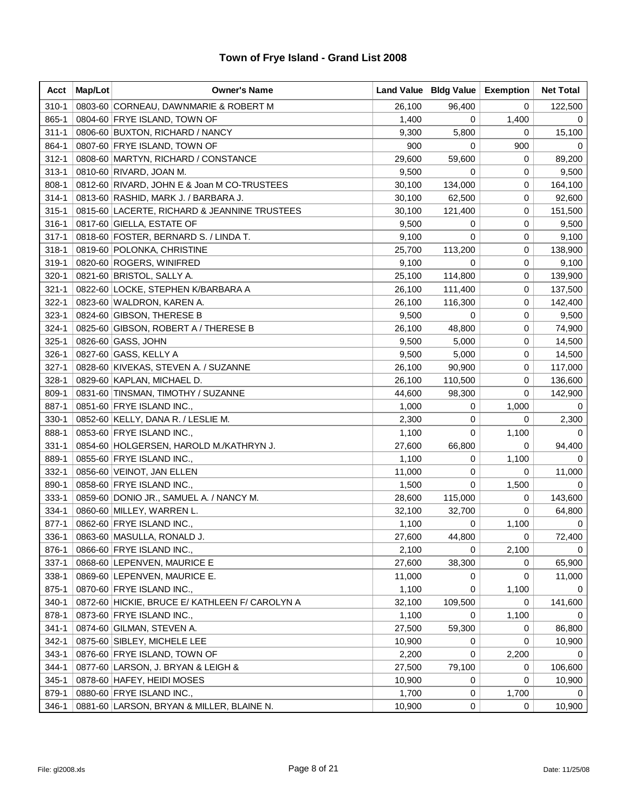| Acct      | Map/Lot | <b>Owner's Name</b>                            |        | Land Value   Bldg Value | <b>Exemption</b> | <b>Net Total</b> |
|-----------|---------|------------------------------------------------|--------|-------------------------|------------------|------------------|
| $310 - 1$ |         | 0803-60 CORNEAU, DAWNMARIE & ROBERT M          | 26,100 | 96,400                  | 0                | 122,500          |
| 865-1     |         | 0804-60 FRYE ISLAND, TOWN OF                   | 1,400  | 0                       | 1,400            | 0                |
| $311 - 1$ |         | 0806-60 BUXTON, RICHARD / NANCY                | 9,300  | 5,800                   | 0                | 15,100           |
| 864-1     |         | 0807-60 FRYE ISLAND, TOWN OF                   | 900    | 0                       | 900              | 0                |
| $312 - 1$ |         | 0808-60 MARTYN, RICHARD / CONSTANCE            | 29,600 | 59,600                  | 0                | 89,200           |
| $313 - 1$ |         | 0810-60 RIVARD, JOAN M.                        | 9,500  | 0                       | 0                | 9,500            |
| 808-1     |         | 0812-60 RIVARD, JOHN E & Joan M CO-TRUSTEES    | 30,100 | 134,000                 | 0                | 164,100          |
| $314 - 1$ |         | 0813-60 RASHID, MARK J. / BARBARA J.           | 30,100 | 62,500                  | 0                | 92,600           |
| $315 - 1$ |         | 0815-60 LACERTE, RICHARD & JEANNINE TRUSTEES   | 30,100 | 121,400                 | 0                | 151,500          |
| $316-1$   |         | 0817-60 GIELLA, ESTATE OF                      | 9,500  | 0                       | 0                | 9,500            |
| $317 - 1$ |         | 0818-60 FOSTER, BERNARD S. / LINDA T.          | 9,100  | 0                       | 0                | 9,100            |
| $318 - 1$ |         | 0819-60 POLONKA, CHRISTINE                     | 25,700 | 113,200                 | 0                | 138,900          |
| 319-1     |         | 0820-60 ROGERS, WINIFRED                       | 9,100  | 0                       | 0                | 9,100            |
| $320-1$   |         | 0821-60 BRISTOL, SALLY A.                      | 25,100 | 114,800                 | 0                | 139,900          |
| $321 - 1$ |         | 0822-60 LOCKE, STEPHEN K/BARBARA A             | 26,100 | 111,400                 | 0                | 137,500          |
| $322 - 1$ |         | 0823-60 WALDRON, KAREN A.                      | 26,100 | 116,300                 | 0                | 142,400          |
| $323-1$   |         | 0824-60 GIBSON, THERESE B                      | 9,500  | 0                       | 0                | 9,500            |
| $324 - 1$ |         | 0825-60 GIBSON, ROBERT A / THERESE B           | 26,100 | 48,800                  | 0                | 74,900           |
| $325 - 1$ |         | 0826-60 GASS, JOHN                             | 9,500  | 5,000                   | 0                | 14,500           |
| $326-1$   |         | 0827-60 GASS, KELLY A                          | 9,500  | 5,000                   | 0                | 14,500           |
| $327 - 1$ |         | 0828-60 KIVEKAS, STEVEN A. / SUZANNE           | 26,100 | 90,900                  | 0                | 117,000          |
| $328-1$   |         | 0829-60 KAPLAN, MICHAEL D.                     | 26,100 | 110,500                 | 0                | 136,600          |
| 809-1     |         | 0831-60 TINSMAN, TIMOTHY / SUZANNE             | 44,600 | 98,300                  | 0                | 142,900          |
| 887-1     |         | 0851-60 FRYE ISLAND INC.,                      | 1,000  | 0                       | 1,000            | 0                |
| $330-1$   |         | 0852-60 KELLY, DANA R. / LESLIE M.             | 2,300  | 0                       | 0                | 2,300            |
| 888-1     |         | 0853-60 FRYE ISLAND INC.,                      | 1,100  | 0                       | 1,100            | 0                |
| $331 - 1$ |         | 0854-60 HOLGERSEN, HAROLD M./KATHRYN J.        | 27,600 | 66,800                  | 0                | 94,400           |
| 889-1     |         | 0855-60 FRYE ISLAND INC.,                      | 1,100  | 0                       | 1,100            | 0                |
| $332 - 1$ |         | 0856-60 VEINOT, JAN ELLEN                      | 11,000 | 0                       | 0                | 11,000           |
| 890-1     |         | 0858-60 FRYE ISLAND INC.,                      | 1,500  | 0                       | 1,500            | 0                |
| $333 - 1$ |         | 0859-60 DONIO JR., SAMUEL A. / NANCY M.        | 28,600 | 115,000                 | 0                | 143,600          |
| $334-1$   |         | 0860-60 MILLEY, WARREN L.                      | 32,100 | 32,700                  | 0                | 64,800           |
| $877 - 1$ |         | 0862-60 FRYE ISLAND INC.,                      | 1,100  | 0                       | 1,100            | 0                |
| $336-1$   |         | 0863-60 MASULLA, RONALD J.                     | 27,600 | 44,800                  | 0                | 72,400           |
| 876-1     |         | 0866-60 FRYE ISLAND INC.,                      | 2,100  | 0                       | 2,100            | 0                |
| $337-1$   |         | 0868-60 LEPENVEN, MAURICE E                    | 27,600 | 38,300                  | 0                | 65,900           |
| 338-1     |         | 0869-60 LEPENVEN, MAURICE E.                   | 11,000 | 0                       | 0                | 11,000           |
| 875-1     |         | 0870-60 FRYE ISLAND INC.,                      | 1,100  | 0                       | 1,100            | $\Omega$         |
| $340 - 1$ |         | 0872-60 HICKIE, BRUCE E/ KATHLEEN F/ CAROLYN A | 32,100 | 109,500                 | 0                | 141,600          |
| 878-1     |         | 0873-60 FRYE ISLAND INC.,                      | 1,100  | 0                       | 1,100            | 0                |
| $341 - 1$ |         | 0874-60 GILMAN, STEVEN A.                      | 27,500 | 59,300                  | 0                | 86,800           |
| $342 - 1$ |         | 0875-60 SIBLEY, MICHELE LEE                    | 10,900 | 0                       | 0                | 10,900           |
| $343 - 1$ |         | 0876-60 FRYE ISLAND, TOWN OF                   | 2,200  | 0                       | 2,200            | 0                |
| $344-1$   |         | 0877-60 LARSON, J. BRYAN & LEIGH &             | 27,500 | 79,100                  | 0                | 106,600          |
| $345 - 1$ |         | 0878-60 HAFEY, HEIDI MOSES                     | 10,900 | 0                       | 0                | 10,900           |
| 879-1     |         | 0880-60 FRYE ISLAND INC.,                      | 1,700  | 0                       | 1,700            | 0                |
| 346-1     |         | 0881-60 LARSON, BRYAN & MILLER, BLAINE N.      | 10,900 | 0                       | 0                | 10,900           |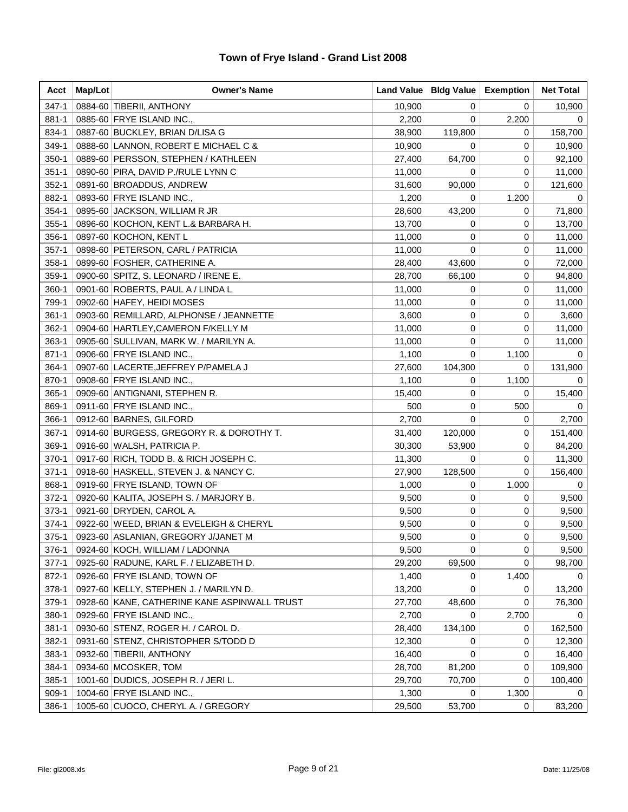| Acct      | Map/Lot | <b>Owner's Name</b>                          |        | Land Value   Bldg Value | <b>Exemption</b> | <b>Net Total</b> |
|-----------|---------|----------------------------------------------|--------|-------------------------|------------------|------------------|
| $347 - 1$ |         | 0884-60 TIBERII, ANTHONY                     | 10,900 | 0                       | 0                | 10,900           |
| 881-1     |         | 0885-60 FRYE ISLAND INC.,                    | 2,200  | 0                       | 2,200            | 0                |
| 834-1     |         | 0887-60 BUCKLEY, BRIAN D/LISA G              | 38,900 | 119,800                 | 0                | 158,700          |
| 349-1     |         | 0888-60 LANNON, ROBERT E MICHAEL C &         | 10,900 | 0                       | 0                | 10,900           |
| $350-1$   |         | 0889-60 PERSSON, STEPHEN / KATHLEEN          | 27,400 | 64,700                  | 0                | 92,100           |
| $351 - 1$ |         | 0890-60 PIRA, DAVID P./RULE LYNN C           | 11,000 | 0                       | 0                | 11,000           |
| $352 - 1$ |         | 0891-60 BROADDUS, ANDREW                     | 31,600 | 90,000                  | 0                | 121,600          |
| 882-1     |         | 0893-60 FRYE ISLAND INC.,                    | 1,200  | 0                       | 1,200            | 0                |
| $354-1$   |         | 0895-60 JACKSON, WILLIAM R JR                | 28,600 | 43,200                  | 0                | 71,800           |
| $355 - 1$ |         | 0896-60 KOCHON, KENT L.& BARBARA H.          | 13,700 | 0                       | 0                | 13,700           |
| $356-1$   |         | 0897-60 KOCHON, KENT L                       | 11,000 | 0                       | 0                | 11,000           |
| $357 - 1$ |         | 0898-60 PETERSON, CARL / PATRICIA            | 11,000 | 0                       | 0                | 11,000           |
| $358-1$   |         | 0899-60 FOSHER, CATHERINE A.                 | 28,400 | 43,600                  | 0                | 72,000           |
| 359-1     |         | 0900-60 SPITZ, S. LEONARD / IRENE E.         | 28,700 | 66,100                  | 0                | 94,800           |
| $360 - 1$ |         | 0901-60 ROBERTS, PAUL A / LINDA L            | 11,000 | 0                       | 0                | 11,000           |
| 799-1     |         | 0902-60 HAFEY, HEIDI MOSES                   | 11,000 | 0                       | 0                | 11,000           |
| $361 - 1$ |         | 0903-60 REMILLARD, ALPHONSE / JEANNETTE      | 3,600  | 0                       | 0                | 3,600            |
| $362 - 1$ |         | 0904-60 HARTLEY, CAMERON F/KELLY M           | 11,000 | 0                       | 0                | 11,000           |
| $363-1$   |         | 0905-60 SULLIVAN, MARK W. / MARILYN A.       | 11,000 | 0                       | 0                | 11,000           |
| $871 - 1$ |         | 0906-60 FRYE ISLAND INC.,                    | 1,100  | 0                       | 1,100            | 0                |
| 364-1     |         | 0907-60 LACERTE, JEFFREY P/PAMELA J          | 27,600 | 104,300                 | 0                | 131,900          |
| 870-1     |         | 0908-60 FRYE ISLAND INC.,                    | 1,100  | 0                       | 1,100            | 0                |
| $365-1$   |         | 0909-60 ANTIGNANI, STEPHEN R.                | 15,400 | 0                       | 0                | 15,400           |
| 869-1     |         | 0911-60 FRYE ISLAND INC.,                    | 500    | 0                       | 500              | 0                |
| 366-1     |         | 0912-60 BARNES, GILFORD                      | 2,700  | 0                       | 0                | 2,700            |
| $367-1$   |         | 0914-60 BURGESS, GREGORY R. & DOROTHY T.     | 31,400 | 120,000                 | 0                | 151,400          |
| 369-1     |         | 0916-60 WALSH, PATRICIA P.                   | 30,300 | 53,900                  | 0                | 84,200           |
| $370-1$   |         | 0917-60 RICH, TODD B. & RICH JOSEPH C.       | 11,300 | 0                       | 0                | 11,300           |
| $371 - 1$ |         | 0918-60 HASKELL, STEVEN J. & NANCY C.        | 27,900 | 128,500                 | 0                | 156,400          |
| 868-1     |         | 0919-60 FRYE ISLAND, TOWN OF                 | 1,000  | 0                       | 1,000            | $\mathbf 0$      |
| $372 - 1$ |         | 0920-60 KALITA, JOSEPH S. / MARJORY B.       | 9,500  | 0                       | 0                | 9,500            |
| $373-1$   |         | 0921-60 DRYDEN, CAROL A.                     | 9,500  | 0                       | 0                | 9,500            |
| 374-1     |         | 0922-60 WEED, BRIAN & EVELEIGH & CHERYL      | 9,500  | 0                       | 0                | 9,500            |
| $375 - 1$ |         | 0923-60 ASLANIAN, GREGORY J/JANET M          | 9,500  | 0                       | 0                | 9,500            |
| 376-1     |         | 0924-60 KOCH, WILLIAM / LADONNA              | 9,500  | 0                       | 0                | 9,500            |
| $377-1$   |         | 0925-60 RADUNE, KARL F. / ELIZABETH D.       | 29,200 | 69,500                  | 0                | 98,700           |
| 872-1     |         | 0926-60 FRYE ISLAND, TOWN OF                 | 1,400  | 0                       | 1,400            | $\Omega$         |
| 378-1     |         | 0927-60 KELLY, STEPHEN J. / MARILYN D.       | 13,200 | 0                       | 0                | 13,200           |
| 379-1     |         | 0928-60 KANE, CATHERINE KANE ASPINWALL TRUST | 27,700 | 48,600                  | 0                | 76,300           |
| 380-1     |         | 0929-60 FRYE ISLAND INC.,                    | 2,700  | 0                       | 2,700            | 0                |
| $381 - 1$ |         | 0930-60 STENZ, ROGER H. / CAROL D.           | 28,400 | 134,100                 | 0                | 162,500          |
| 382-1     |         | 0931-60 STENZ, CHRISTOPHER S/TODD D          | 12,300 | 0                       | 0                | 12,300           |
| $383-1$   |         | 0932-60 TIBERII, ANTHONY                     | 16,400 | 0                       | 0                | 16,400           |
| 384-1     |         | 0934-60 MCOSKER, TOM                         | 28,700 | 81,200                  | 0                | 109,900          |
| $385-1$   |         | 1001-60 DUDICS, JOSEPH R. / JERI L.          | 29,700 | 70,700                  | 0                | 100,400          |
| $909-1$   |         | 1004-60 FRYE ISLAND INC.,                    | 1,300  | 0                       | 1,300            | 0                |
| 386-1     |         | 1005-60 CUOCO, CHERYL A. / GREGORY           | 29,500 | 53,700                  | 0                | 83,200           |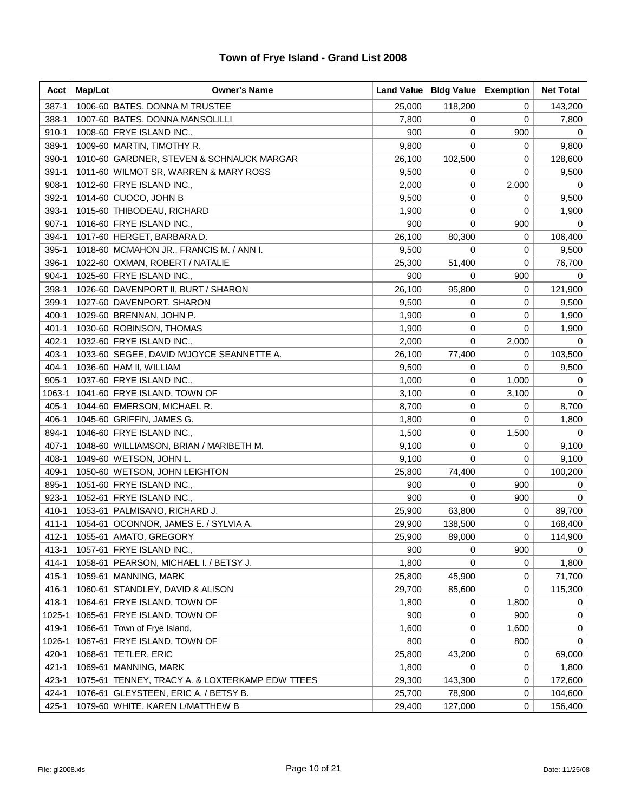| Acct      | Map/Lot | <b>Owner's Name</b>                             |        | Land Value   Bldg Value | <b>Exemption</b> | <b>Net Total</b> |
|-----------|---------|-------------------------------------------------|--------|-------------------------|------------------|------------------|
| $387 - 1$ |         | 1006-60 BATES, DONNA M TRUSTEE                  | 25,000 | 118,200                 | 0                | 143,200          |
| 388-1     |         | 1007-60 BATES, DONNA MANSOLILLI                 | 7,800  | 0                       | 0                | 7,800            |
| 910-1     |         | 1008-60 FRYE ISLAND INC.,                       | 900    | 0                       | 900              | 0                |
| 389-1     |         | 1009-60 MARTIN, TIMOTHY R.                      | 9,800  | 0                       | 0                | 9,800            |
| $390-1$   |         | 1010-60 GARDNER, STEVEN & SCHNAUCK MARGAR       | 26,100 | 102,500                 | 0                | 128,600          |
| $391 - 1$ |         | 1011-60 WILMOT SR, WARREN & MARY ROSS           | 9,500  | 0                       | 0                | 9,500            |
| $908-1$   |         | 1012-60 FRYE ISLAND INC.,                       | 2,000  | 0                       | 2,000            | 0                |
| 392-1     |         | 1014-60 CUOCO, JOHN B                           | 9,500  | 0                       | 0                | 9,500            |
| 393-1     |         | 1015-60 THIBODEAU, RICHARD                      | 1,900  | 0                       | 0                | 1,900            |
| $907 - 1$ |         | 1016-60 FRYE ISLAND INC.,                       | 900    | 0                       | 900              | 0                |
| 394-1     |         | 1017-60 HERGET, BARBARA D.                      | 26,100 | 80,300                  | 0                | 106,400          |
| $395 - 1$ |         | 1018-60 MCMAHON JR., FRANCIS M. / ANN I.        | 9,500  | 0                       | 0                | 9,500            |
| 396-1     |         | 1022-60 OXMAN, ROBERT / NATALIE                 | 25,300 | 51,400                  | 0                | 76,700           |
| $904 - 1$ |         | 1025-60 FRYE ISLAND INC.,                       | 900    | 0                       | 900              | 0                |
| 398-1     |         | 1026-60 DAVENPORT II, BURT / SHARON             | 26,100 | 95,800                  | 0                | 121,900          |
| 399-1     |         | 1027-60 DAVENPORT, SHARON                       | 9,500  | 0                       | 0                | 9,500            |
| $400 - 1$ |         | 1029-60 BRENNAN, JOHN P.                        | 1,900  | 0                       | 0                | 1,900            |
| $401 - 1$ |         | 1030-60 ROBINSON, THOMAS                        | 1,900  | 0                       | 0                | 1,900            |
| $402 - 1$ |         | 1032-60 FRYE ISLAND INC.,                       | 2,000  | 0                       | 2,000            | 0                |
| $403 - 1$ |         | 1033-60 SEGEE, DAVID M/JOYCE SEANNETTE A.       | 26,100 | 77,400                  | 0                | 103,500          |
| $404 - 1$ |         | 1036-60 HAM II, WILLIAM                         | 9,500  | 0                       | 0                | 9,500            |
| $905 - 1$ |         | 1037-60 FRYE ISLAND INC.,                       | 1,000  | 0                       | 1,000            | 0                |
| 1063-1    |         | 1041-60 FRYE ISLAND, TOWN OF                    | 3,100  | 0                       | 3,100            | 0                |
| $405 - 1$ |         | 1044-60 EMERSON, MICHAEL R.                     | 8,700  | 0                       | 0                | 8,700            |
| 406-1     |         | 1045-60 GRIFFIN, JAMES G.                       | 1,800  | 0                       | 0                | 1,800            |
| 894-1     |         | 1046-60 FRYE ISLAND INC.,                       | 1,500  | 0                       | 1,500            | 0                |
| $407 - 1$ |         | 1048-60 WILLIAMSON, BRIAN / MARIBETH M.         | 9,100  | 0                       | 0                | 9,100            |
| 408-1     |         | 1049-60   WETSON, JOHN L.                       | 9,100  | 0                       | 0                | 9,100            |
| 409-1     |         | 1050-60 WETSON, JOHN LEIGHTON                   | 25,800 | 74,400                  | 0                | 100,200          |
| 895-1     |         | 1051-60 FRYE ISLAND INC.,                       | 900    | 0                       | 900              | 0                |
| $923-1$   |         | 1052-61 FRYE ISLAND INC.,                       | 900    | 0                       | 900              | 0                |
| 410-1     |         | 1053-61 PALMISANO, RICHARD J.                   | 25,900 | 63,800                  | 0                | 89,700           |
| $411 - 1$ |         | 1054-61 OCONNOR, JAMES E. / SYLVIA A.           | 29,900 | 138,500                 | 0                | 168,400          |
| $412 - 1$ |         | 1055-61 AMATO, GREGORY                          | 25.900 | 89,000                  | 0                | 114,900          |
| 413-1     |         | 1057-61 FRYE ISLAND INC.,                       | 900    | 0                       | 900              | 0                |
| 414-1     |         | 1058-61   PEARSON, MICHAEL I. / BETSY J.        | 1,800  | 0                       | 0                | 1,800            |
| $415 - 1$ |         | 1059-61   MANNING, MARK                         | 25,800 | 45,900                  | 0                | 71,700           |
| 416-1     |         | 1060-61 STANDLEY, DAVID & ALISON                | 29,700 | 85,600                  | 0                | 115,300          |
| $418 - 1$ |         | 1064-61 FRYE ISLAND, TOWN OF                    | 1,800  | 0                       | 1,800            | 0                |
| 1025-1    |         | 1065-61 FRYE ISLAND, TOWN OF                    | 900    | 0                       | 900              | 0                |
| 419-1     | 1066-61 | Town of Frye Island,                            | 1,600  | 0                       | 1,600            | 0                |
| 1026-1    | 1067-61 | <b>FRYE ISLAND, TOWN OF</b>                     | 800    | 0                       | 800              | 0                |
| 420-1     | 1068-61 | <b>TETLER, ERIC</b>                             | 25,800 | 43,200                  | 0                | 69,000           |
| $421 - 1$ |         | 1069-61 MANNING, MARK                           | 1,800  | 0                       | 0                | 1,800            |
| $423 - 1$ |         | 1075-61 TENNEY, TRACY A. & LOXTERKAMP EDW TTEES | 29,300 | 143,300                 | 0                | 172,600          |
| 424-1     |         | 1076-61 GLEYSTEEN, ERIC A. / BETSY B.           | 25,700 | 78,900                  | 0                | 104,600          |
| $425 - 1$ |         | 1079-60 WHITE, KAREN L/MATTHEW B                | 29,400 | 127,000                 | 0                | 156,400          |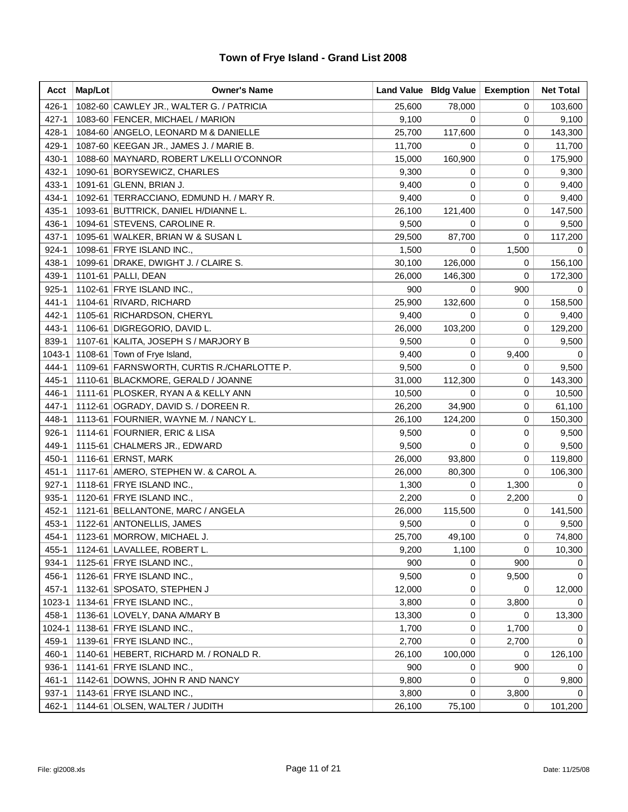| Acct      | Map/Lot | <b>Owner's Name</b>                        |        | Land Value   Bldg Value | <b>Exemption</b> | <b>Net Total</b> |
|-----------|---------|--------------------------------------------|--------|-------------------------|------------------|------------------|
| 426-1     |         | 1082-60 CAWLEY JR., WALTER G. / PATRICIA   | 25,600 | 78,000                  | 0                | 103,600          |
| $427 - 1$ |         | 1083-60 FENCER, MICHAEL / MARION           | 9,100  | 0                       | 0                | 9,100            |
| 428-1     |         | 1084-60 ANGELO, LEONARD M & DANIELLE       | 25,700 | 117,600                 | 0                | 143,300          |
| 429-1     |         | 1087-60 KEEGAN JR., JAMES J. / MARIE B.    | 11,700 | 0                       | 0                | 11,700           |
| 430-1     |         | 1088-60 MAYNARD, ROBERT L/KELLI O'CONNOR   | 15,000 | 160,900                 | 0                | 175,900          |
| 432-1     |         | 1090-61 BORYSEWICZ, CHARLES                | 9,300  | 0                       | 0                | 9,300            |
| 433-1     |         | 1091-61 GLENN, BRIAN J.                    | 9,400  | 0                       | 0                | 9,400            |
| 434-1     |         | 1092-61 TERRACCIANO, EDMUND H. / MARY R.   | 9,400  | 0                       | 0                | 9,400            |
| 435-1     |         | 1093-61 BUTTRICK, DANIEL H/DIANNE L.       | 26,100 | 121,400                 | 0                | 147,500          |
| 436-1     |         | 1094-61 STEVENS, CAROLINE R.               | 9,500  | 0                       | 0                | 9,500            |
| $437 - 1$ |         | 1095-61 WALKER, BRIAN W & SUSAN L          | 29,500 | 87,700                  | 0                | 117,200          |
| $924 - 1$ |         | 1098-61 FRYE ISLAND INC.,                  | 1,500  | 0                       | 1,500            | 0                |
| 438-1     |         | 1099-61   DRAKE, DWIGHT J. / CLAIRE S.     | 30,100 | 126,000                 | 0                | 156,100          |
| 439-1     |         | 1101-61 PALLI, DEAN                        | 26,000 | 146,300                 | 0                | 172,300          |
| $925 - 1$ |         | 1102-61 FRYE ISLAND INC.,                  | 900    | 0                       | 900              | 0                |
| 441-1     |         | 1104-61 RIVARD, RICHARD                    | 25,900 | 132,600                 | 0                | 158,500          |
| 442-1     |         | 1105-61 RICHARDSON, CHERYL                 | 9,400  | 0                       | 0                | 9,400            |
| 443-1     |         | 1106-61 DIGREGORIO, DAVID L.               | 26,000 | 103,200                 | 0                | 129,200          |
| 839-1     |         | 1107-61 KALITA, JOSEPH S / MARJORY B       | 9,500  | 0                       | 0                | 9,500            |
| 1043-1    |         | 1108-61 Town of Frye Island,               | 9,400  | 0                       | 9,400            | 0                |
| 444-1     |         | 1109-61 FARNSWORTH, CURTIS R./CHARLOTTE P. | 9,500  | 0                       | 0                | 9,500            |
| 445-1     |         | 1110-61 BLACKMORE, GERALD / JOANNE         | 31,000 | 112,300                 | 0                | 143,300          |
| 446-1     |         | 1111-61 PLOSKER, RYAN A & KELLY ANN        | 10,500 | 0                       | 0                | 10,500           |
| 447-1     |         | 1112-61 OGRADY, DAVID S. / DOREEN R.       | 26,200 | 34,900                  | 0                | 61,100           |
| 448-1     |         | 1113-61 FOURNIER, WAYNE M. / NANCY L.      | 26,100 | 124,200                 | 0                | 150,300          |
| $926 - 1$ |         | 1114-61 FOURNIER, ERIC & LISA              | 9,500  | 0                       | 0                | 9,500            |
| 449-1     |         | 1115-61 CHALMERS JR., EDWARD               | 9,500  | 0                       | 0                | 9,500            |
| 450-1     |         | 1116-61 ERNST, MARK                        | 26,000 | 93,800                  | 0                | 119,800          |
| $451 - 1$ |         | 1117-61   AMERO, STEPHEN W. & CAROL A.     | 26,000 | 80,300                  | 0                | 106,300          |
| $927 - 1$ |         | 1118-61 FRYE ISLAND INC.,                  | 1,300  | 0                       | 1,300            | 0                |
| $935 - 1$ |         | 1120-61 FRYE ISLAND INC.,                  | 2,200  | 0                       | 2,200            | 0                |
| 452-1     |         | 1121-61 BELLANTONE, MARC / ANGELA          | 26,000 | 115,500                 | 0                | 141,500          |
| $453 - 1$ |         | 1122-61 ANTONELLIS, JAMES                  | 9,500  | 0                       | 0                | 9,500            |
| 454-1     |         | 1123-61   MORROW, MICHAEL J.               | 25,700 | 49,100                  | 0                | 74,800           |
| $455 - 1$ |         | 1124-61   LAVALLEE, ROBERT L.              | 9,200  | 1,100                   | 0                | 10,300           |
| 934-1     |         | 1125-61 FRYE ISLAND INC.,                  | 900    | 0                       | 900              | 0                |
| 456-1     |         | 1126-61 FRYE ISLAND INC.,                  | 9,500  | 0                       | 9,500            | 0                |
| 457-1     |         | 1132-61 SPOSATO, STEPHEN J                 | 12,000 | 0                       | 0                | 12,000           |
| 1023-1    |         | 1134-61 FRYE ISLAND INC.,                  | 3,800  | 0                       | 3,800            | 0                |
| 458-1     |         | 1136-61 LOVELY, DANA A/MARY B              | 13,300 | 0                       | 0                | 13,300           |
| 1024-1    |         | 1138-61 FRYE ISLAND INC.,                  | 1,700  | 0                       | 1,700            | 0                |
| 459-1     |         | 1139-61 FRYE ISLAND INC.,                  | 2,700  | 0                       | 2,700            | 0                |
| 460-1     |         | 1140-61 HEBERT, RICHARD M. / RONALD R.     | 26,100 | 100,000                 | 0                | 126,100          |
| 936-1     |         | 1141-61 FRYE ISLAND INC.,                  | 900    | 0                       | 900              | 0                |
| 461-1     |         | 1142-61 DOWNS, JOHN R AND NANCY            | 9,800  | 0                       | 0                | 9,800            |
| $937 - 1$ |         | 1143-61 FRYE ISLAND INC.,                  | 3,800  | 0                       | 3,800            | 0                |
| 462-1     |         | 1144-61 OLSEN, WALTER / JUDITH             | 26,100 | 75,100                  | 0                | 101,200          |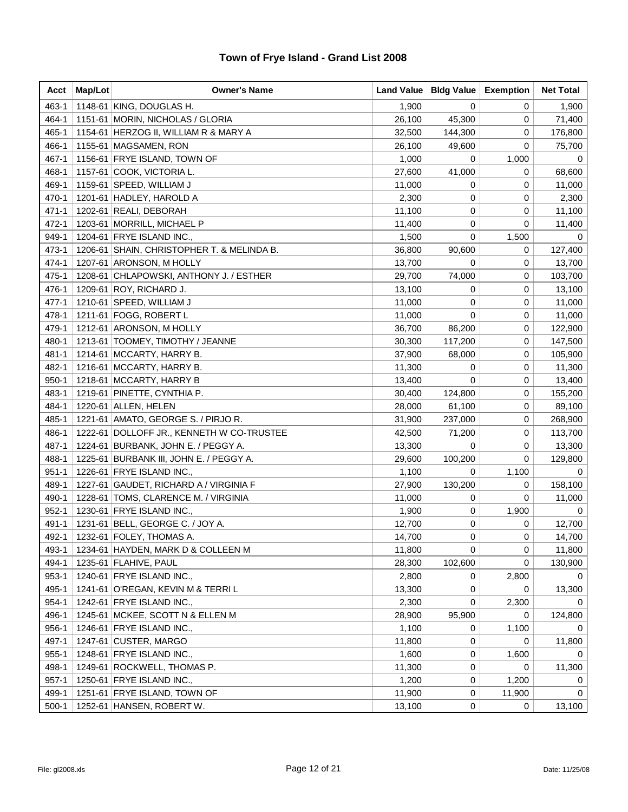| Acct      | Map/Lot | <b>Owner's Name</b>                        |        | Land Value   Bldg Value | <b>Exemption</b> | <b>Net Total</b> |
|-----------|---------|--------------------------------------------|--------|-------------------------|------------------|------------------|
| 463-1     |         | 1148-61 KING, DOUGLAS H.                   | 1,900  | 0                       | 0                | 1,900            |
| 464-1     |         | 1151-61 MORIN, NICHOLAS / GLORIA           | 26,100 | 45,300                  | 0                | 71,400           |
| 465-1     |         | 1154-61 HERZOG II, WILLIAM R & MARY A      | 32,500 | 144,300                 | 0                | 176,800          |
| 466-1     |         | 1155-61 MAGSAMEN, RON                      | 26,100 | 49,600                  | 0                | 75,700           |
| 467-1     |         | 1156-61 FRYE ISLAND, TOWN OF               | 1,000  | 0                       | 1,000            | 0                |
| 468-1     |         | 1157-61 COOK, VICTORIA L.                  | 27,600 | 41,000                  | 0                | 68,600           |
| 469-1     |         | 1159-61 SPEED, WILLIAM J                   | 11,000 | 0                       | 0                | 11,000           |
| 470-1     |         | 1201-61 HADLEY, HAROLD A                   | 2,300  | 0                       | 0                | 2,300            |
| 471-1     |         | 1202-61 REALI, DEBORAH                     | 11,100 | 0                       | 0                | 11,100           |
| 472-1     |         | 1203-61 MORRILL, MICHAEL P                 | 11,400 | 0                       | 0                | 11,400           |
| 949-1     |         | 1204-61 FRYE ISLAND INC.,                  | 1,500  | 0                       | 1,500            | 0                |
| 473-1     |         | 1206-61 SHAIN, CHRISTOPHER T. & MELINDA B. | 36,800 | 90,600                  | 0                | 127,400          |
| 474-1     |         | 1207-61 ARONSON, M HOLLY                   | 13,700 | 0                       | 0                | 13,700           |
| 475-1     |         | 1208-61 CHLAPOWSKI, ANTHONY J. / ESTHER    | 29,700 | 74,000                  | 0                | 103,700          |
| 476-1     |         | 1209-61 ROY, RICHARD J.                    | 13,100 | 0                       | 0                | 13,100           |
| 477-1     |         | 1210-61 SPEED, WILLIAM J                   | 11,000 | 0                       | 0                | 11,000           |
| 478-1     |         | 1211-61 FOGG, ROBERT L                     | 11,000 | 0                       | 0                | 11,000           |
| 479-1     |         | 1212-61 ARONSON, M HOLLY                   | 36,700 | 86,200                  | 0                | 122,900          |
| 480-1     |         | 1213-61   TOOMEY, TIMOTHY / JEANNE         | 30,300 | 117,200                 | 0                | 147,500          |
| 481-1     |         | 1214-61   MCCARTY, HARRY B.                | 37,900 | 68,000                  | 0                | 105,900          |
| 482-1     |         | 1216-61 MCCARTY, HARRY B.                  | 11,300 | 0                       | 0                | 11,300           |
| $950 - 1$ |         | 1218-61   MCCARTY, HARRY B                 | 13,400 | 0                       | 0                | 13,400           |
| 483-1     |         | 1219-61 PINETTE, CYNTHIA P.                | 30,400 | 124,800                 | 0                | 155,200          |
| 484-1     |         | 1220-61 ALLEN, HELEN                       | 28,000 | 61,100                  | 0                | 89,100           |
| 485-1     |         | 1221-61 AMATO, GEORGE S. / PIRJO R.        | 31,900 | 237,000                 | 0                | 268,900          |
| 486-1     |         | 1222-61 DOLLOFF JR., KENNETH W CO-TRUSTEE  | 42,500 | 71,200                  | 0                | 113,700          |
| 487-1     |         | 1224-61 BURBANK, JOHN E. / PEGGY A.        | 13,300 | 0                       | 0                | 13,300           |
| 488-1     |         | 1225-61 BURBANK III, JOHN E. / PEGGY A.    | 29,600 | 100,200                 | 0                | 129,800          |
| $951 - 1$ |         | 1226-61 FRYE ISLAND INC.,                  | 1,100  | 0                       | 1,100            | 0                |
| 489-1     |         | 1227-61 GAUDET, RICHARD A / VIRGINIA F     | 27,900 | 130,200                 | 0                | 158,100          |
| 490-1     |         | 1228-61 TOMS, CLARENCE M. / VIRGINIA       | 11,000 | 0                       | 0                | 11,000           |
| $952 - 1$ |         | 1230-61 FRYE ISLAND INC.,                  | 1,900  | 0                       | 1,900            | $\mathbf 0$      |
| 491-1     |         | 1231-61 BELL, GEORGE C. / JOY A.           | 12,700 | 0                       | 0                | 12,700           |
| 492-1     |         | 1232-61 FOLEY, THOMAS A.                   | 14,700 | 0                       | 0                | 14,700           |
| 493-1     |         | 1234-61 HAYDEN, MARK D & COLLEEN M         | 11,800 | 0                       | 0                | 11,800           |
| 494-1     |         | 1235-61 FLAHIVE, PAUL                      | 28,300 | 102,600                 | 0                | 130,900          |
| 953-1     |         | 1240-61 FRYE ISLAND INC.,                  | 2,800  | 0                       | 2,800            | 0                |
| 495-1     |         | 1241-61 O'REGAN, KEVIN M & TERRIL          | 13,300 | 0                       | 0                | 13,300           |
| 954-1     |         | 1242-61 FRYE ISLAND INC.,                  | 2,300  | 0                       | 2,300            | 0                |
| 496-1     |         | 1245-61 MCKEE, SCOTT N & ELLEN M           | 28,900 | 95,900                  | 0                | 124,800          |
| 956-1     |         | 1246-61 FRYE ISLAND INC.,                  | 1,100  | 0                       | 1,100            | 0                |
| 497-1     |         | 1247-61 CUSTER, MARGO                      | 11,800 | 0                       | 0                | 11,800           |
| $955 - 1$ |         | 1248-61 FRYE ISLAND INC.,                  | 1,600  | 0                       | 1,600            | 0                |
| 498-1     |         | 1249-61 ROCKWELL, THOMAS P.                | 11,300 | 0                       | 0                | 11,300           |
| $957 - 1$ |         | 1250-61 FRYE ISLAND INC.,                  | 1,200  | 0                       | 1,200            | 0                |
| 499-1     |         | 1251-61 FRYE ISLAND, TOWN OF               | 11,900 | 0                       | 11,900           | 0                |
| $500-1$   |         | 1252-61 HANSEN, ROBERT W.                  | 13,100 | 0                       | 0                | 13,100           |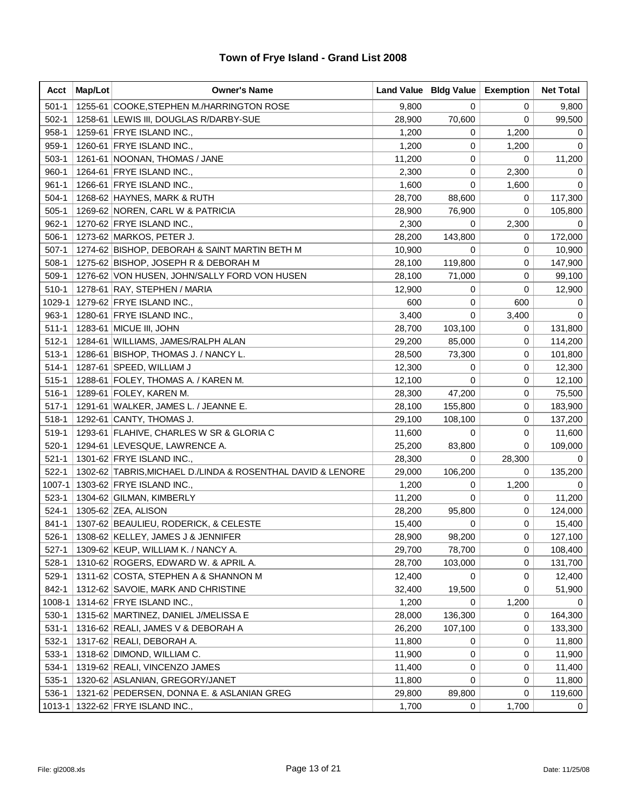| Acct      | Map/Lot | <b>Owner's Name</b>                                         |        | Land Value   Bldg Value   Exemption |             | <b>Net Total</b> |
|-----------|---------|-------------------------------------------------------------|--------|-------------------------------------|-------------|------------------|
| $501 - 1$ |         | 1255-61 COOKE, STEPHEN M./HARRINGTON ROSE                   | 9,800  | $\mathbf 0$                         | 0           | 9,800            |
| $502-1$   |         | 1258-61 LEWIS III, DOUGLAS R/DARBY-SUE                      | 28,900 | 70,600                              | 0           | 99,500           |
| $958-1$   |         | 1259-61 FRYE ISLAND INC.,                                   | 1,200  | 0                                   | 1,200       | 0                |
| $959-1$   |         | 1260-61 FRYE ISLAND INC.,                                   | 1,200  | 0                                   | 1,200       | 0                |
| $503-1$   |         | 1261-61 NOONAN, THOMAS / JANE                               | 11,200 | 0                                   | 0           | 11,200           |
| $960 - 1$ |         | 1264-61 FRYE ISLAND INC.,                                   | 2,300  | 0                                   | 2,300       | 0                |
| $961 - 1$ |         | 1266-61 FRYE ISLAND INC.,                                   | 1,600  | 0                                   | 1,600       | 0                |
| $504-1$   |         | 1268-62 HAYNES, MARK & RUTH                                 | 28,700 | 88,600                              | 0           | 117,300          |
| $505-1$   |         | 1269-62 NOREN, CARL W & PATRICIA                            | 28,900 | 76,900                              | 0           | 105,800          |
| $962 - 1$ |         | 1270-62 FRYE ISLAND INC.,                                   | 2,300  | 0                                   | 2,300       | 0                |
| $506-1$   |         | 1273-62 MARKOS, PETER J.                                    | 28,200 | 143,800                             | 0           | 172,000          |
| $507-1$   |         | 1274-62 BISHOP, DEBORAH & SAINT MARTIN BETH M               | 10,900 | 0                                   | 0           | 10,900           |
| $508-1$   |         | 1275-62 BISHOP, JOSEPH R & DEBORAH M                        | 28,100 | 119,800                             | 0           | 147,900          |
| 509-1     |         | 1276-62 VON HUSEN, JOHN/SALLY FORD VON HUSEN                | 28,100 | 71,000                              | 0           | 99,100           |
| $510-1$   |         | 1278-61 RAY, STEPHEN / MARIA                                | 12,900 | 0                                   | 0           | 12,900           |
|           |         | 1029-1   1279-62   FRYE ISLAND INC.,                        | 600    | 0                                   | 600         | 0                |
| $963-1$   |         | 1280-61 FRYE ISLAND INC.,                                   | 3,400  | $\mathbf 0$                         | 3,400       | 0                |
| $511 - 1$ |         | 1283-61 MICUE III, JOHN                                     | 28,700 | 103,100                             | 0           | 131,800          |
| $512 - 1$ |         | 1284-61 WILLIAMS, JAMES/RALPH ALAN                          | 29,200 | 85,000                              | 0           | 114,200          |
| $513-1$   |         | 1286-61   BISHOP, THOMAS J. / NANCY L.                      | 28,500 | 73,300                              | 0           | 101,800          |
| $514-1$   |         | 1287-61 SPEED, WILLIAM J                                    | 12,300 | 0                                   | 0           | 12,300           |
| $515-1$   |         | 1288-61 FOLEY, THOMAS A. / KAREN M.                         | 12,100 | 0                                   | 0           | 12,100           |
| $516-1$   |         | 1289-61 FOLEY, KAREN M.                                     | 28,300 | 47,200                              | 0           | 75,500           |
| $517 - 1$ |         | 1291-61 WALKER, JAMES L. / JEANNE E.                        | 28,100 | 155,800                             | 0           | 183,900          |
| $518-1$   |         | 1292-61 CANTY, THOMAS J.                                    | 29,100 | 108,100                             | 0           | 137,200          |
| 519-1     |         | 1293-61 FLAHIVE, CHARLES W SR & GLORIA C                    | 11,600 | 0                                   | 0           | 11,600           |
| $520-1$   |         | 1294-61 LEVESQUE, LAWRENCE A.                               | 25,200 | 83,800                              | $\mathbf 0$ | 109,000          |
| $521 - 1$ |         | 1301-62 FRYE ISLAND INC.,                                   | 28,300 | 0                                   | 28,300      | 0                |
| $522 - 1$ |         | 1302-62 TABRIS, MICHAEL D./LINDA & ROSENTHAL DAVID & LENORE | 29,000 | 106,200                             | 0           | 135,200          |
| 1007-1    |         | 1303-62 FRYE ISLAND INC.,                                   | 1,200  | 0                                   | 1,200       | 0                |
| $523-1$   |         | 1304-62 GILMAN, KIMBERLY                                    | 11,200 | 0                                   | 0           | 11,200           |
| $524-1$   |         | 1305-62 ZEA, ALISON                                         | 28,200 | 95,800                              | 0           | 124,000          |
| $841 - 1$ |         | 1307-62 BEAULIEU, RODERICK, & CELESTE                       | 15,400 | 0                                   | 0           | 15,400           |
| 526-1     |         | 1308-62 KELLEY, JAMES J & JENNIFER                          | 28,900 | 98,200                              | $\mathbf 0$ | 127,100          |
| $527-1$   |         | 1309-62 KEUP, WILLIAM K. / NANCY A.                         | 29,700 | 78,700                              | 0           | 108,400          |
| $528-1$   |         | 1310-62 ROGERS, EDWARD W. & APRIL A.                        | 28,700 | 103,000                             | 0           | 131,700          |
| 529-1     |         | 1311-62 COSTA, STEPHEN A & SHANNON M                        | 12,400 | 0                                   | 0           | 12,400           |
| 842-1     |         | 1312-62 SAVOIE, MARK AND CHRISTINE                          | 32,400 | 19,500                              | 0           | 51,900           |
| 1008-1    |         | 1314-62 FRYE ISLAND INC.,                                   | 1,200  | 0                                   | 1,200       | $\Omega$         |
| $530-1$   |         | 1315-62 MARTINEZ, DANIEL J/MELISSA E                        | 28,000 | 136,300                             | 0           | 164,300          |
| $531 - 1$ |         | 1316-62 REALI, JAMES V & DEBORAH A                          | 26,200 | 107,100                             | 0           | 133,300          |
| 532-1     |         | 1317-62 REALI, DEBORAH A.                                   | 11,800 | 0                                   | 0           | 11,800           |
| $533-1$   |         | 1318-62 DIMOND, WILLIAM C.                                  | 11,900 | 0                                   | 0           | 11,900           |
| 534-1     |         | 1319-62 REALI, VINCENZO JAMES                               | 11,400 | 0                                   | 0           | 11,400           |
| $535-1$   |         | 1320-62 ASLANIAN, GREGORY/JANET                             | 11,800 | 0                                   | 0           | 11,800           |
| 536-1     |         | 1321-62 PEDERSEN, DONNA E. & ASLANIAN GREG                  | 29,800 | 89,800                              | 0           | 119,600          |
| 1013-1    |         | 1322-62 FRYE ISLAND INC.,                                   | 1,700  | 0                                   | 1,700       | 0                |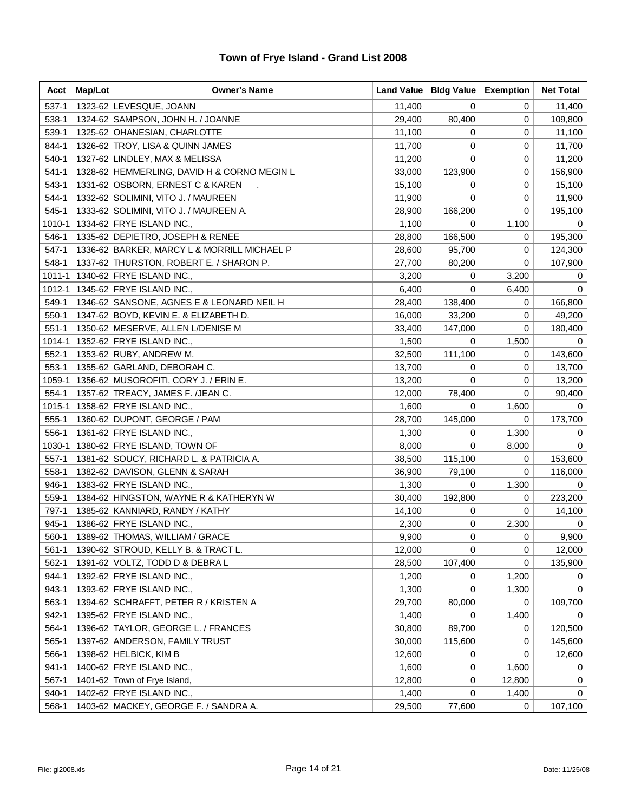| Acct      | Map/Lot | <b>Owner's Name</b>                         |        | Land Value   Bldg Value | <b>Exemption</b> | <b>Net Total</b> |
|-----------|---------|---------------------------------------------|--------|-------------------------|------------------|------------------|
| $537-1$   |         | 1323-62 LEVESQUE, JOANN                     | 11,400 | 0                       | 0                | 11,400           |
| 538-1     |         | 1324-62 SAMPSON, JOHN H. / JOANNE           | 29,400 | 80,400                  | 0                | 109,800          |
| 539-1     |         | 1325-62 OHANESIAN, CHARLOTTE                | 11,100 | 0                       | 0                | 11,100           |
| 844-1     |         | 1326-62 TROY, LISA & QUINN JAMES            | 11,700 | 0                       | 0                | 11,700           |
| 540-1     |         | 1327-62 LINDLEY, MAX & MELISSA              | 11,200 | 0                       | 0                | 11,200           |
| $541-1$   |         | 1328-62 HEMMERLING, DAVID H & CORNO MEGIN L | 33,000 | 123,900                 | 0                | 156,900          |
| $543-1$   |         | 1331-62 OSBORN, ERNEST C & KAREN            | 15,100 | 0                       | 0                | 15,100           |
| 544-1     |         | 1332-62 SOLIMINI, VITO J. / MAUREEN         | 11,900 | 0                       | 0                | 11,900           |
| 545-1     |         | 1333-62 SOLIMINI, VITO J. / MAUREEN A.      | 28,900 | 166,200                 | 0                | 195,100          |
| 1010-1    |         | 1334-62 FRYE ISLAND INC.,                   | 1,100  | 0                       | 1,100            | 0                |
| 546-1     |         | 1335-62 DEPIETRO, JOSEPH & RENEE            | 28,800 | 166,500                 | 0                | 195,300          |
| $547-1$   |         | 1336-62 BARKER, MARCY L & MORRILL MICHAEL P | 28,600 | 95,700                  | 0                | 124,300          |
| 548-1     |         | 1337-62 THURSTON, ROBERT E. / SHARON P.     | 27,700 | 80,200                  | 0                | 107,900          |
|           |         | 1011-1   1340-62   FRYE ISLAND INC.,        | 3,200  | 0                       | 3,200            | 0                |
|           |         | 1012-1   1345-62   FRYE ISLAND INC.,        | 6,400  | 0                       | 6,400            | $\Omega$         |
| 549-1     |         | 1346-62 SANSONE, AGNES E & LEONARD NEIL H   | 28,400 | 138,400                 | 0                | 166,800          |
| $550-1$   |         | 1347-62 BOYD, KEVIN E. & ELIZABETH D.       | 16,000 | 33,200                  | 0                | 49,200           |
| $551-1$   |         | 1350-62 MESERVE, ALLEN L/DENISE M           | 33,400 | 147,000                 | 0                | 180,400          |
| 1014-1    |         | 1352-62 FRYE ISLAND INC.,                   | 1,500  | 0                       | 1,500            | 0                |
| $552-1$   |         | 1353-62   RUBY, ANDREW M.                   | 32,500 | 111,100                 | 0                | 143,600          |
| $553-1$   |         | 1355-62 GARLAND, DEBORAH C.                 | 13,700 | 0                       | 0                | 13,700           |
| 1059-1    |         | 1356-62 MUSOROFITI, CORY J. / ERIN E.       | 13,200 | 0                       | 0                | 13,200           |
| $554-1$   |         | 1357-62 TREACY, JAMES F. /JEAN C.           | 12,000 | 78,400                  | 0                | 90,400           |
|           |         | 1015-1   1358-62   FRYE ISLAND INC.,        | 1,600  | 0                       | 1,600            | 0                |
| $555-1$   |         | 1360-62 DUPONT, GEORGE / PAM                | 28,700 | 145,000                 | 0                | 173,700          |
| 556-1     |         | 1361-62 FRYE ISLAND INC.,                   | 1,300  | 0                       | 1,300            | 0                |
| 1030-1    |         | 1380-62 FRYE ISLAND, TOWN OF                | 8,000  | 0                       | 8,000            | 0                |
| $557-1$   |         | 1381-62 SOUCY, RICHARD L. & PATRICIA A.     | 38,500 | 115,100                 | 0                | 153,600          |
| 558-1     |         | 1382-62 DAVISON, GLENN & SARAH              | 36,900 | 79,100                  | 0                | 116,000          |
| 946-1     |         | 1383-62 FRYE ISLAND INC.,                   | 1,300  | 0                       | 1,300            | 0                |
| 559-1     |         | 1384-62 HINGSTON, WAYNE R & KATHERYN W      | 30,400 | 192,800                 | 0                | 223,200          |
| 797-1     |         | 1385-62 KANNIARD, RANDY / KATHY             | 14,100 | 0                       | 0                | 14,100           |
| 945-1     |         | 1386-62 FRYE ISLAND INC.,                   | 2,300  | 0                       | 2,300            | 0                |
| 560-1     |         | 1389-62 THOMAS, WILLIAM / GRACE             | 9,900  | 0                       | 0                | 9,900            |
| $561-1$   |         | 1390-62 STROUD, KELLY B. & TRACT L.         | 12,000 | 0                       | 0                | 12,000           |
| $562-1$   |         | 1391-62 VOLTZ, TODD D & DEBRA L             | 28,500 | 107,400                 | 0                | 135,900          |
| 944-1     |         | 1392-62 FRYE ISLAND INC.,                   | 1,200  | 0                       | 1,200            | 0                |
| $943 - 1$ |         | 1393-62 FRYE ISLAND INC.,                   | 1,300  | 0                       | 1,300            | 0                |
| 563-1     |         | 1394-62 SCHRAFFT, PETER R / KRISTEN A       | 29,700 | 80,000                  | 0                | 109,700          |
| 942-1     |         | 1395-62 FRYE ISLAND INC.,                   | 1,400  | 0                       | 1,400            | $\Omega$         |
| 564-1     |         | 1396-62 TAYLOR, GEORGE L. / FRANCES         | 30,800 | 89,700                  | 0                | 120,500          |
| $565-1$   |         | 1397-62 ANDERSON, FAMILY TRUST              | 30,000 | 115,600                 | 0                | 145,600          |
| 566-1     |         | 1398-62 HELBICK, KIM B                      | 12,600 | 0                       | 0                | 12,600           |
| $941 - 1$ |         | 1400-62 FRYE ISLAND INC.,                   | 1,600  | 0                       | 1,600            | 0                |
| $567-1$   |         | 1401-62 Town of Frye Island,                | 12,800 | 0                       | 12,800           | 0                |
| $940 - 1$ |         | 1402-62 FRYE ISLAND INC.,                   | 1,400  | 0                       | 1,400            | 0                |
| 568-1     |         | 1403-62 MACKEY, GEORGE F. / SANDRA A.       | 29,500 | 77,600                  | 0                | 107,100          |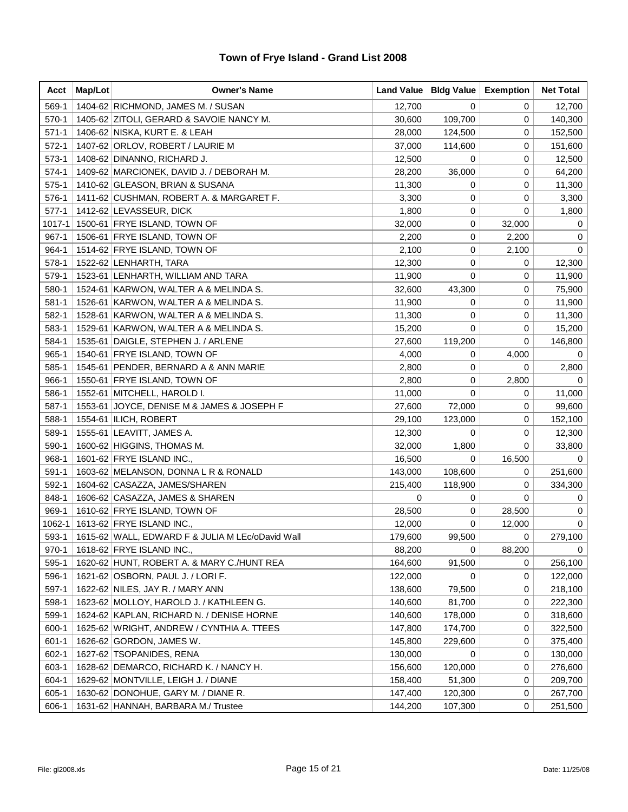| Acct      | Map/Lot | <b>Owner's Name</b>                              |         | Land Value   Bldg Value | <b>Exemption</b> | <b>Net Total</b> |
|-----------|---------|--------------------------------------------------|---------|-------------------------|------------------|------------------|
| 569-1     |         | 1404-62 RICHMOND, JAMES M. / SUSAN               | 12,700  | 0                       | 0                | 12,700           |
| $570-1$   |         | 1405-62 ZITOLI, GERARD & SAVOIE NANCY M.         | 30,600  | 109,700                 | 0                | 140,300          |
| $571-1$   |         | 1406-62 NISKA, KURT E. & LEAH                    | 28,000  | 124,500                 | 0                | 152,500          |
| $572-1$   |         | 1407-62 ORLOV, ROBERT / LAURIE M                 | 37,000  | 114,600                 | 0                | 151,600          |
| $573-1$   |         | 1408-62 DINANNO, RICHARD J.                      | 12,500  | 0                       | 0                | 12,500           |
| $574-1$   |         | 1409-62 MARCIONEK, DAVID J. / DEBORAH M.         | 28,200  | 36,000                  | 0                | 64,200           |
| $575-1$   |         | 1410-62 GLEASON, BRIAN & SUSANA                  | 11,300  | 0                       | 0                | 11,300           |
| 576-1     |         | 1411-62 CUSHMAN, ROBERT A. & MARGARET F.         | 3,300   | 0                       | 0                | 3,300            |
| $577-1$   |         | 1412-62 LEVASSEUR, DICK                          | 1,800   | 0                       | 0                | 1,800            |
| 1017-1    |         | 1500-61 FRYE ISLAND, TOWN OF                     | 32,000  | 0                       | 32,000           | 0                |
| $967 - 1$ |         | 1506-61 FRYE ISLAND, TOWN OF                     | 2,200   | 0                       | 2,200            | 0                |
| 964-1     |         | 1514-62 FRYE ISLAND, TOWN OF                     | 2,100   | 0                       | 2,100            | 0                |
| 578-1     |         | 1522-62 LENHARTH, TARA                           | 12,300  | 0                       | 0                | 12,300           |
| 579-1     |         | 1523-61 LENHARTH, WILLIAM AND TARA               | 11,900  | 0                       | 0                | 11,900           |
| 580-1     |         | 1524-61 KARWON, WALTER A & MELINDA S.            | 32,600  | 43,300                  | 0                | 75,900           |
| $581 - 1$ |         | 1526-61 KARWON, WALTER A & MELINDA S.            | 11,900  | 0                       | 0                | 11,900           |
| 582-1     |         | 1528-61 KARWON, WALTER A & MELINDA S.            | 11,300  | 0                       | 0                | 11,300           |
| 583-1     |         | 1529-61 KARWON, WALTER A & MELINDA S.            | 15,200  | 0                       | 0                | 15,200           |
| 584-1     |         | 1535-61 DAIGLE, STEPHEN J. / ARLENE              | 27,600  | 119,200                 | 0                | 146,800          |
| $965 - 1$ |         | 1540-61 FRYE ISLAND, TOWN OF                     | 4,000   | 0                       | 4,000            | 0                |
| 585-1     |         | 1545-61 PENDER, BERNARD A & ANN MARIE            | 2,800   | 0                       | 0                | 2,800            |
| 966-1     |         | 1550-61 FRYE ISLAND, TOWN OF                     | 2,800   | 0                       | 2,800            | $\Omega$         |
| 586-1     |         | 1552-61 MITCHELL, HAROLD I.                      | 11,000  | 0                       | 0                | 11,000           |
| 587-1     |         | 1553-61 JOYCE, DENISE M & JAMES & JOSEPH F       | 27,600  | 72,000                  | 0                | 99,600           |
| 588-1     |         | 1554-61  ILICH, ROBERT                           | 29,100  | 123,000                 | 0                | 152,100          |
| 589-1     |         | 1555-61   LEAVITT, JAMES A.                      | 12,300  | 0                       | 0                | 12,300           |
| 590-1     |         | 1600-62 HIGGINS, THOMAS M.                       | 32,000  | 1,800                   | 0                | 33,800           |
| 968-1     |         | 1601-62 FRYE ISLAND INC.,                        | 16,500  | 0                       | 16,500           | 0                |
| $591-1$   |         | 1603-62 MELANSON, DONNA L R & RONALD             | 143,000 | 108,600                 | 0                | 251,600          |
| 592-1     |         | 1604-62 CASAZZA, JAMES/SHAREN                    | 215,400 | 118,900                 | 0                | 334,300          |
| 848-1     |         | 1606-62 CASAZZA, JAMES & SHAREN                  | 0       | 0                       | 0                | 0                |
| 969-1     |         | 1610-62 FRYE ISLAND, TOWN OF                     | 28,500  | 0                       | 28,500           | $\mathbf 0$      |
| 1062-1    |         | 1613-62 FRYE ISLAND INC.,                        | 12,000  | 0                       | 12,000           | $\mathbf 0$      |
| 593-1     |         | 1615-62 WALL, EDWARD F & JULIA M LEc/oDavid Wall | 179,600 | 99,500                  | 0                | 279,100          |
| $970-1$   |         | 1618-62 FRYE ISLAND INC.,                        | 88,200  | 0                       | 88,200           | 0                |
| 595-1     |         | 1620-62 HUNT, ROBERT A. & MARY C./HUNT REA       | 164,600 | 91,500                  | 0                | 256,100          |
| 596-1     |         | 1621-62 OSBORN, PAUL J. / LORI F.                | 122,000 | 0                       | 0                | 122,000          |
| 597-1     |         | 1622-62 NILES, JAY R. / MARY ANN                 | 138,600 | 79,500                  | 0                | 218,100          |
| 598-1     |         | 1623-62 MOLLOY, HAROLD J. / KATHLEEN G.          | 140,600 | 81,700                  | 0                | 222,300          |
| 599-1     |         | 1624-62 KAPLAN, RICHARD N. / DENISE HORNE        | 140,600 | 178,000                 | 0                | 318,600          |
| 600-1     |         | 1625-62 WRIGHT, ANDREW / CYNTHIA A. TTEES        | 147,800 | 174,700                 | 0                | 322,500          |
| $601 - 1$ |         | 1626-62 GORDON, JAMES W.                         | 145,800 | 229,600                 | 0                | 375,400          |
| 602-1     |         | 1627-62 TSOPANIDES, RENA                         | 130,000 | 0                       | 0                | 130,000          |
| 603-1     |         | 1628-62 DEMARCO, RICHARD K. / NANCY H.           | 156,600 | 120,000                 | 0                | 276,600          |
| 604-1     |         | 1629-62 MONTVILLE, LEIGH J. / DIANE              | 158,400 | 51,300                  | 0                | 209,700          |
| 605-1     |         | 1630-62 DONOHUE, GARY M. / DIANE R.              | 147,400 | 120,300                 | 0                | 267,700          |
| 606-1     |         | 1631-62 HANNAH, BARBARA M./ Trustee              | 144,200 | 107,300                 | 0                | 251,500          |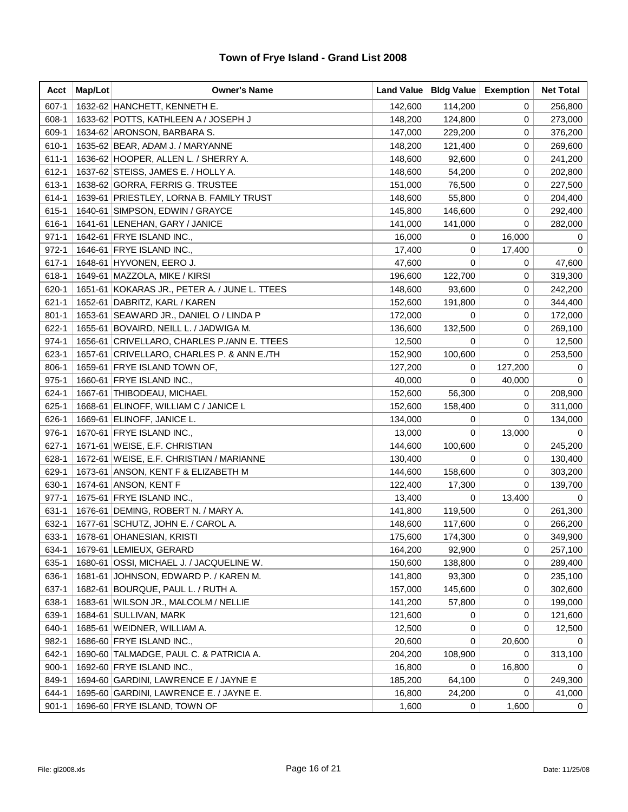| Acct      | Map/Lot | <b>Owner's Name</b>                           |         | Land Value   Bldg Value | <b>Exemption</b> | <b>Net Total</b> |
|-----------|---------|-----------------------------------------------|---------|-------------------------|------------------|------------------|
| $607 - 1$ |         | 1632-62 HANCHETT, KENNETH E.                  | 142,600 | 114,200                 | 0                | 256,800          |
| 608-1     |         | 1633-62 POTTS, KATHLEEN A / JOSEPH J          | 148,200 | 124,800                 | 0                | 273,000          |
| 609-1     |         | 1634-62 ARONSON, BARBARA S.                   | 147,000 | 229,200                 | 0                | 376,200          |
| 610-1     |         | 1635-62 BEAR, ADAM J. / MARYANNE              | 148,200 | 121,400                 | 0                | 269,600          |
| $611 - 1$ |         | 1636-62 HOOPER, ALLEN L. / SHERRY A.          | 148,600 | 92,600                  | 0                | 241,200          |
| 612-1     |         | 1637-62 STEISS, JAMES E. / HOLLY A.           | 148,600 | 54,200                  | 0                | 202,800          |
| 613-1     |         | 1638-62 GORRA, FERRIS G. TRUSTEE              | 151,000 | 76,500                  | 0                | 227,500          |
| 614-1     |         | 1639-61 PRIESTLEY, LORNA B. FAMILY TRUST      | 148,600 | 55,800                  | 0                | 204,400          |
| 615-1     |         | 1640-61 SIMPSON, EDWIN / GRAYCE               | 145,800 | 146,600                 | 0                | 292,400          |
| 616-1     |         | 1641-61 LENEHAN, GARY / JANICE                | 141,000 | 141,000                 | 0                | 282,000          |
| $971 - 1$ |         | 1642-61 FRYE ISLAND INC.,                     | 16,000  | 0                       | 16,000           | 0                |
| $972 - 1$ |         | 1646-61 FRYE ISLAND INC.,                     | 17,400  | 0                       | 17,400           | 0                |
| $617 - 1$ |         | 1648-61 HYVONEN, EERO J.                      | 47,600  | 0                       | 0                | 47,600           |
| 618-1     |         | 1649-61 MAZZOLA, MIKE / KIRSI                 | 196,600 | 122,700                 | 0                | 319,300          |
| 620-1     |         | 1651-61 KOKARAS JR., PETER A. / JUNE L. TTEES | 148,600 | 93,600                  | 0                | 242,200          |
| $621 - 1$ |         | 1652-61 DABRITZ, KARL / KAREN                 | 152,600 | 191,800                 | 0                | 344,400          |
| $801 - 1$ |         | 1653-61 SEAWARD JR., DANIEL O / LINDA P       | 172,000 | 0                       | 0                | 172,000          |
| 622-1     |         | 1655-61 BOVAIRD, NEILL L. / JADWIGA M.        | 136,600 | 132,500                 | 0                | 269,100          |
| 974-1     |         | 1656-61 CRIVELLARO, CHARLES P./ANN E. TTEES   | 12,500  | 0                       | 0                | 12,500           |
| 623-1     |         | 1657-61 CRIVELLARO, CHARLES P. & ANN E./TH    | 152,900 | 100,600                 | 0                | 253,500          |
| 806-1     |         | 1659-61 FRYE ISLAND TOWN OF,                  | 127,200 | 0                       | 127,200          | 0                |
| $975 - 1$ |         | 1660-61 FRYE ISLAND INC.,                     | 40,000  | 0                       | 40,000           | 0                |
| 624-1     |         | 1667-61 THIBODEAU, MICHAEL                    | 152,600 | 56,300                  | 0                | 208,900          |
| 625-1     |         | 1668-61 ELINOFF, WILLIAM C / JANICE L         | 152,600 | 158,400                 | 0                | 311,000          |
| 626-1     |         | 1669-61 ELINOFF, JANICE L.                    | 134,000 | 0                       | 0                | 134,000          |
| 976-1     |         | 1670-61 FRYE ISLAND INC.,                     | 13,000  | 0                       | 13,000           | 0                |
| $627 - 1$ |         | 1671-61 WEISE, E.F. CHRISTIAN                 | 144,600 | 100,600                 | 0                | 245,200          |
| 628-1     |         | 1672-61 WEISE, E.F. CHRISTIAN / MARIANNE      | 130,400 | 0                       | 0                | 130,400          |
| 629-1     |         | 1673-61 ANSON, KENT F & ELIZABETH M           | 144,600 | 158,600                 | 0                | 303,200          |
| 630-1     |         | 1674-61 ANSON, KENT F                         | 122,400 | 17,300                  | 0                | 139,700          |
| $977-1$   |         | 1675-61 FRYE ISLAND INC.,                     | 13,400  | 0                       | 13,400           | $\mathbf 0$      |
| 631-1     |         | 1676-61 DEMING, ROBERT N. / MARY A.           | 141,800 | 119,500                 | 0                | 261,300          |
| 632-1     |         | 1677-61 SCHUTZ, JOHN E. / CAROL A.            | 148,600 | 117,600                 | 0                | 266,200          |
| 633-1     |         | 1678-61 OHANESIAN, KRISTI                     | 175,600 | 174,300                 | 0                | 349,900          |
| 634-1     |         | 1679-61 LEMIEUX, GERARD                       | 164,200 | 92,900                  | 0                | 257,100          |
| 635-1     |         | 1680-61 OSSI, MICHAEL J. / JACQUELINE W.      | 150,600 | 138,800                 | 0                | 289,400          |
| 636-1     |         | 1681-61 JOHNSON, EDWARD P. / KAREN M.         | 141,800 | 93,300                  | 0                | 235,100          |
| 637-1     |         | 1682-61 BOURQUE, PAUL L. / RUTH A.            | 157,000 | 145,600                 | 0                | 302,600          |
| 638-1     |         | 1683-61 WILSON JR., MALCOLM / NELLIE          | 141,200 | 57,800                  | 0                | 199,000          |
| 639-1     |         | 1684-61 SULLIVAN, MARK                        | 121,600 | 0                       | 0                | 121,600          |
| 640-1     |         | 1685-61   WEIDNER, WILLIAM A.                 | 12,500  | 0                       | 0                | 12,500           |
| 982-1     |         | 1686-60 FRYE ISLAND INC.,                     | 20,600  | 0                       | 20,600           | 0                |
| 642-1     |         | 1690-60 TALMADGE, PAUL C. & PATRICIA A.       | 204,200 | 108,900                 | 0                | 313,100          |
| $900 - 1$ |         | 1692-60 FRYE ISLAND INC.,                     | 16,800  | 0                       | 16,800           | 0                |
| 849-1     |         | 1694-60 GARDINI, LAWRENCE E / JAYNE E         | 185,200 | 64,100                  | 0                | 249,300          |
| 644-1     |         | 1695-60 GARDINI, LAWRENCE E. / JAYNE E.       | 16,800  | 24,200                  | 0                | 41,000           |
| $901 - 1$ |         | 1696-60 FRYE ISLAND, TOWN OF                  | 1,600   | 0                       | 1,600            | $\mathbf 0$      |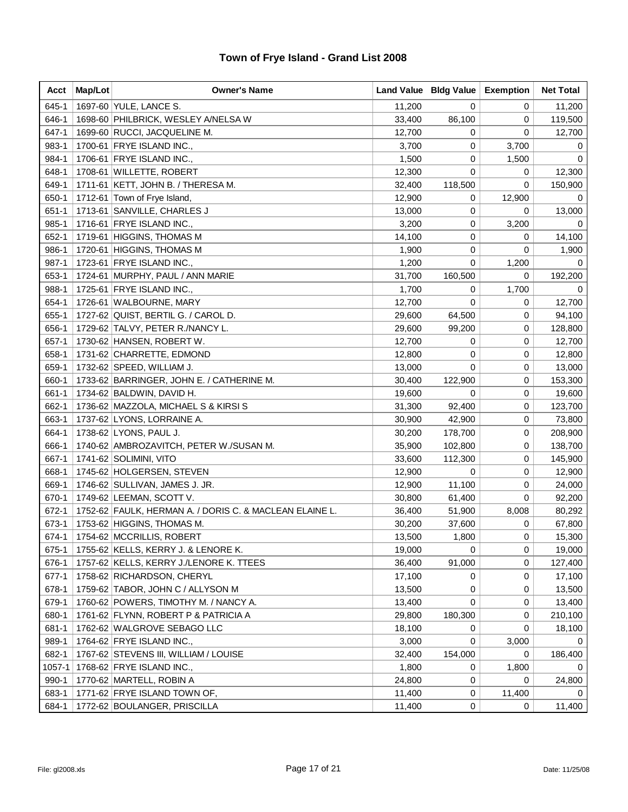| Acct      | Map/Lot | <b>Owner's Name</b>                                     |        | Land Value   Bldg Value | <b>Exemption</b> | <b>Net Total</b> |
|-----------|---------|---------------------------------------------------------|--------|-------------------------|------------------|------------------|
| 645-1     |         | 1697-60 YULE, LANCE S.                                  | 11,200 | 0                       | 0                | 11,200           |
| 646-1     |         | 1698-60 PHILBRICK, WESLEY A/NELSA W                     | 33,400 | 86,100                  | 0                | 119,500          |
| 647-1     |         | 1699-60 RUCCI, JACQUELINE M.                            | 12,700 | 0                       | 0                | 12,700           |
| 983-1     |         | 1700-61 FRYE ISLAND INC.,                               | 3,700  | 0                       | 3,700            | 0                |
| 984-1     |         | 1706-61 FRYE ISLAND INC.,                               | 1,500  | 0                       | 1,500            | 0                |
| 648-1     |         | 1708-61 WILLETTE, ROBERT                                | 12,300 | 0                       | 0                | 12,300           |
| 649-1     |         | 1711-61 KETT, JOHN B. / THERESA M.                      | 32,400 | 118,500                 | 0                | 150,900          |
| 650-1     |         | 1712-61 Town of Frye Island,                            | 12,900 | 0                       | 12,900           | 0                |
| $651 - 1$ |         | 1713-61 SANVILLE, CHARLES J                             | 13,000 | 0                       | 0                | 13,000           |
| 985-1     |         | 1716-61 FRYE ISLAND INC.,                               | 3,200  | 0                       | 3,200            | 0                |
| 652-1     |         | 1719-61 HIGGINS, THOMAS M                               | 14,100 | 0                       | 0                | 14,100           |
| 986-1     |         | 1720-61 HIGGINS, THOMAS M                               | 1,900  | 0                       | 0                | 1,900            |
| 987-1     |         | 1723-61 FRYE ISLAND INC.,                               | 1,200  | 0                       | 1,200            | 0                |
| 653-1     |         | 1724-61 MURPHY, PAUL / ANN MARIE                        | 31,700 | 160,500                 | 0                | 192,200          |
| 988-1     |         | 1725-61 FRYE ISLAND INC.,                               | 1,700  | 0                       | 1,700            | 0                |
| 654-1     |         | 1726-61 WALBOURNE, MARY                                 | 12,700 | 0                       | 0                | 12,700           |
| 655-1     |         | 1727-62 QUIST, BERTIL G. / CAROL D.                     | 29,600 | 64,500                  | 0                | 94,100           |
| 656-1     |         | 1729-62 TALVY, PETER R./NANCY L.                        | 29,600 | 99,200                  | 0                | 128,800          |
| 657-1     |         | 1730-62 HANSEN, ROBERT W.                               | 12,700 | 0                       | 0                | 12,700           |
| 658-1     |         | 1731-62 CHARRETTE, EDMOND                               | 12,800 | 0                       | 0                | 12,800           |
| 659-1     |         | 1732-62 SPEED, WILLIAM J.                               | 13,000 | 0                       | 0                | 13,000           |
| 660-1     |         | 1733-62 BARRINGER, JOHN E. / CATHERINE M.               | 30,400 | 122,900                 | 0                | 153,300          |
| 661-1     |         | 1734-62 BALDWIN, DAVID H.                               | 19,600 | 0                       | 0                | 19,600           |
| 662-1     |         | 1736-62 MAZZOLA, MICHAEL S & KIRSI S                    | 31,300 | 92,400                  | 0                | 123,700          |
| 663-1     |         | 1737-62 LYONS, LORRAINE A.                              | 30,900 | 42,900                  | 0                | 73,800           |
| 664-1     |         | 1738-62 LYONS, PAUL J.                                  | 30,200 | 178,700                 | 0                | 208,900          |
| 666-1     |         | 1740-62 AMBROZAVITCH, PETER W./SUSAN M.                 | 35,900 | 102,800                 | 0                | 138,700          |
| 667-1     |         | 1741-62 SOLIMINI, VITO                                  | 33,600 | 112,300                 | 0                | 145,900          |
| 668-1     |         | 1745-62 HOLGERSEN, STEVEN                               | 12,900 | 0                       | 0                | 12,900           |
| 669-1     |         | 1746-62 SULLIVAN, JAMES J. JR.                          | 12,900 | 11,100                  | 0                | 24,000           |
| 670-1     |         | 1749-62 LEEMAN, SCOTT V.                                | 30,800 | 61,400                  | 0                | 92,200           |
| 672-1     |         | 1752-62 FAULK, HERMAN A. / DORIS C. & MACLEAN ELAINE L. | 36,400 | 51,900                  | 8,008            | 80,292           |
| 673-1     |         | 1753-62 HIGGINS, THOMAS M.                              | 30,200 | 37,600                  | 0                | 67,800           |
| 674-1     |         | 1754-62 MCCRILLIS, ROBERT                               | 13,500 | 1,800                   | 0                | 15,300           |
| 675-1     |         | 1755-62 KELLS, KERRY J. & LENORE K.                     | 19,000 | 0                       | 0                | 19,000           |
| 676-1     |         | 1757-62 KELLS, KERRY J./LENORE K. TTEES                 | 36,400 | 91,000                  | 0                | 127,400          |
| $677-1$   |         | 1758-62 RICHARDSON, CHERYL                              | 17,100 | 0                       | 0                | 17,100           |
| 678-1     |         | 1759-62 TABOR, JOHN C / ALLYSON M                       | 13,500 | 0                       | 0                | 13,500           |
| 679-1     |         | 1760-62 POWERS, TIMOTHY M. / NANCY A.                   | 13,400 | 0                       | 0                | 13,400           |
| 680-1     |         | 1761-62 FLYNN, ROBERT P & PATRICIA A                    | 29,800 | 180,300                 | 0                | 210,100          |
| 681-1     |         | 1762-62 WALGROVE SEBAGO LLC                             | 18,100 | 0                       | 0                | 18,100           |
| 989-1     |         | 1764-62 FRYE ISLAND INC.,                               | 3,000  | 0                       | 3,000            | 0                |
| 682-1     |         | 1767-62 STEVENS III, WILLIAM / LOUISE                   | 32,400 | 154,000                 | 0                | 186,400          |
| 1057-1    |         | 1768-62 FRYE ISLAND INC.,                               | 1,800  | 0                       | 1,800            | 0                |
| 990-1     |         | 1770-62 MARTELL, ROBIN A                                | 24,800 | 0                       | 0                | 24,800           |
| 683-1     |         | 1771-62 FRYE ISLAND TOWN OF,                            | 11,400 | 0                       | 11,400           | 0                |
| 684-1     |         | 1772-62 BOULANGER, PRISCILLA                            | 11,400 | 0                       | 0                | 11,400           |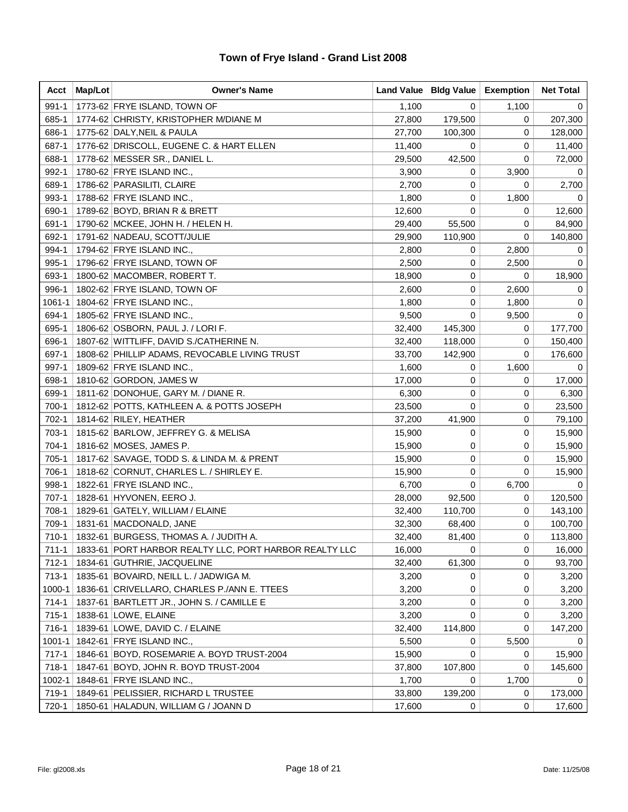| Acct       | Map/Lot | <b>Owner's Name</b>                                    |        | Land Value   Bldg Value | <b>Exemption</b> | <b>Net Total</b> |
|------------|---------|--------------------------------------------------------|--------|-------------------------|------------------|------------------|
| $991 - 1$  |         | 1773-62 FRYE ISLAND, TOWN OF                           | 1,100  | 0                       | 1,100            | 0                |
| 685-1      |         | 1774-62 CHRISTY, KRISTOPHER M/DIANE M                  | 27,800 | 179,500                 | 0                | 207,300          |
| 686-1      |         | 1775-62 DALY, NEIL & PAULA                             | 27,700 | 100,300                 | 0                | 128,000          |
| 687-1      |         | 1776-62 DRISCOLL, EUGENE C. & HART ELLEN               | 11,400 | 0                       | 0                | 11,400           |
| 688-1      |         | 1778-62 MESSER SR., DANIEL L.                          | 29,500 | 42,500                  | 0                | 72,000           |
| 992-1      |         | 1780-62 FRYE ISLAND INC.,                              | 3,900  | 0                       | 3,900            | 0                |
| 689-1      |         | 1786-62 PARASILITI, CLAIRE                             | 2,700  | 0                       | 0                | 2,700            |
| 993-1      |         | 1788-62 FRYE ISLAND INC.,                              | 1,800  | 0                       | 1,800            | 0                |
| 690-1      |         | 1789-62 BOYD, BRIAN R & BRETT                          | 12,600 | 0                       | 0                | 12,600           |
| 691-1      |         | 1790-62 MCKEE, JOHN H. / HELEN H.                      | 29,400 | 55,500                  | 0                | 84,900           |
| 692-1      |         | 1791-62 NADEAU, SCOTT/JULIE                            | 29,900 | 110,900                 | 0                | 140,800          |
| 994-1      |         | 1794-62 FRYE ISLAND INC.,                              | 2,800  | 0                       | 2,800            | 0                |
| 995-1      |         | 1796-62 FRYE ISLAND, TOWN OF                           | 2,500  | 0                       | 2,500            | 0                |
| 693-1      |         | 1800-62 MACOMBER, ROBERT T.                            | 18,900 | 0                       | 0                | 18,900           |
| 996-1      |         | 1802-62 FRYE ISLAND, TOWN OF                           | 2,600  | 0                       | 2,600            | 0                |
| 1061-1     |         | 1804-62 FRYE ISLAND INC.,                              | 1,800  | 0                       | 1,800            | 0                |
| 694-1      |         | 1805-62 FRYE ISLAND INC.,                              | 9,500  | 0                       | 9,500            | 0                |
| 695-1      |         | 1806-62 OSBORN, PAUL J. / LORI F.                      | 32,400 | 145,300                 | 0                | 177,700          |
| 696-1      |         | 1807-62 WITTLIFF, DAVID S./CATHERINE N.                | 32,400 | 118,000                 | 0                | 150,400          |
| 697-1      |         | 1808-62 PHILLIP ADAMS, REVOCABLE LIVING TRUST          | 33,700 | 142,900                 | 0                | 176,600          |
| 997-1      |         | 1809-62 FRYE ISLAND INC.,                              | 1,600  | 0                       | 1,600            | 0                |
| 698-1      |         | 1810-62 GORDON, JAMES W                                | 17,000 | 0                       | 0                | 17,000           |
| 699-1      |         | 1811-62 DONOHUE, GARY M. / DIANE R.                    | 6,300  | 0                       | 0                | 6,300            |
| 700-1      |         | 1812-62 POTTS, KATHLEEN A. & POTTS JOSEPH              | 23,500 | 0                       | 0                | 23,500           |
| 702-1      |         | 1814-62 RILEY, HEATHER                                 | 37,200 | 41,900                  | 0                | 79,100           |
| 703-1      |         | 1815-62 BARLOW, JEFFREY G. & MELISA                    | 15,900 | 0                       | 0                | 15,900           |
| 704-1      |         | 1816-62 MOSES, JAMES P.                                | 15,900 | 0                       | 0                | 15,900           |
| 705-1      |         | 1817-62 SAVAGE, TODD S. & LINDA M. & PRENT             | 15,900 | 0                       | 0                | 15,900           |
| 706-1      |         | 1818-62 CORNUT, CHARLES L. / SHIRLEY E.                | 15,900 | 0                       | 0                | 15,900           |
| 998-1      |         | 1822-61 FRYE ISLAND INC.,                              | 6,700  | 0                       | 6,700            | 0                |
| $707-1$    |         | 1828-61 HYVONEN, EERO J.                               | 28,000 | 92,500                  | 0                | 120,500          |
| 708-1      |         | 1829-61 GATELY, WILLIAM / ELAINE                       | 32,400 | 110,700                 | 0                | 143,100          |
| 709-1      |         | 1831-61   MACDONALD, JANE                              | 32,300 | 68,400                  | 0                | 100,700          |
| 710-1      |         | 1832-61 BURGESS, THOMAS A. / JUDITH A.                 | 32,400 | 81,400                  | 0                | 113,800          |
| 711-1      |         | 1833-61 PORT HARBOR REALTY LLC, PORT HARBOR REALTY LLC | 16,000 | 0                       | 0                | 16,000           |
| $712-1$    |         | 1834-61 GUTHRIE, JACQUELINE                            | 32,400 | 61,300                  | 0                | 93,700           |
| 713-1      |         | 1835-61 BOVAIRD, NEILL L. / JADWIGA M.                 | 3,200  | 0                       | 0                | 3,200            |
| 1000-1     |         | 1836-61 CRIVELLARO, CHARLES P./ANN E. TTEES            | 3,200  | 0                       | 0                | 3,200            |
| $714-1$    |         | 1837-61 BARTLETT JR., JOHN S. / CAMILLE E              | 3,200  | 0                       | 0                | 3,200            |
| 715-1      |         | 1838-61 LOWE, ELAINE                                   | 3,200  | 0                       | 0                | 3,200            |
| 716-1      |         | 1839-61 LOWE, DAVID C. / ELAINE                        | 32,400 | 114,800                 | 0                | 147,200          |
| $1001 - 1$ |         | 1842-61 FRYE ISLAND INC.,                              | 5,500  | 0                       | 5,500            | 0                |
| $717-1$    |         | 1846-61 BOYD, ROSEMARIE A. BOYD TRUST-2004             | 15,900 | 0                       | 0                | 15,900           |
| 718-1      |         | 1847-61 BOYD, JOHN R. BOYD TRUST-2004                  | 37,800 | 107,800                 | 0                | 145,600          |
| 1002-1     |         | 1848-61 FRYE ISLAND INC.,                              | 1,700  | 0                       | 1,700            | 0                |
| 719-1      |         | 1849-61 PELISSIER, RICHARD L TRUSTEE                   | 33,800 | 139,200                 | 0                | 173,000          |
| 720-1      |         | 1850-61 HALADUN, WILLIAM G / JOANN D                   | 17,600 | 0                       | 0                | 17,600           |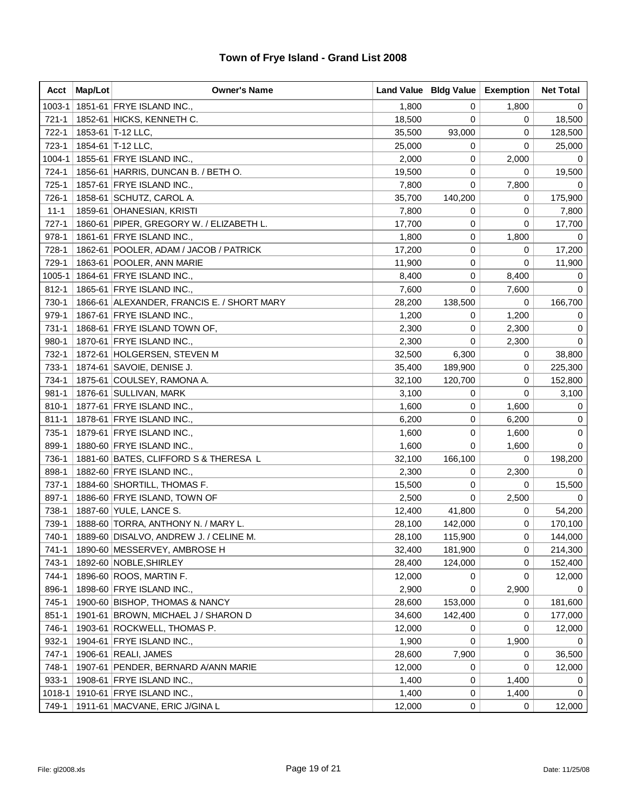| Acct      | Map/Lot | <b>Owner's Name</b>                        |        | Land Value   Bldg Value   Exemption |       | <b>Net Total</b> |
|-----------|---------|--------------------------------------------|--------|-------------------------------------|-------|------------------|
| 1003-1    |         | 1851-61 FRYE ISLAND INC.,                  | 1,800  | 0                                   | 1,800 | 0                |
| $721 - 1$ |         | 1852-61 HICKS, KENNETH C.                  | 18,500 | 0                                   | 0     | 18,500           |
| 722-1     |         | 1853-61   T-12 LLC,                        | 35,500 | 93,000                              | 0     | 128,500          |
| 723-1     |         | 1854-61 T-12 LLC,                          | 25,000 | 0                                   | 0     | 25,000           |
| 1004-1    |         | 1855-61 FRYE ISLAND INC.,                  | 2,000  | 0                                   | 2,000 | 0                |
| 724-1     |         | 1856-61 HARRIS, DUNCAN B. / BETH O.        | 19,500 | 0                                   | 0     | 19,500           |
| 725-1     |         | 1857-61 FRYE ISLAND INC.,                  | 7,800  | 0                                   | 7,800 | 0                |
| 726-1     |         | 1858-61 SCHUTZ, CAROL A.                   | 35,700 | 140,200                             | 0     | 175,900          |
| $11 - 1$  |         | 1859-61 OHANESIAN, KRISTI                  | 7,800  | 0                                   | 0     | 7,800            |
| $727-1$   |         | 1860-61 PIPER, GREGORY W. / ELIZABETH L.   | 17,700 | 0                                   | 0     | 17,700           |
| 978-1     |         | 1861-61 FRYE ISLAND INC.,                  | 1,800  | 0                                   | 1,800 | 0                |
| 728-1     |         | 1862-61 POOLER, ADAM / JACOB / PATRICK     | 17,200 | 0                                   | 0     | 17,200           |
| 729-1     |         | 1863-61   POOLER, ANN MARIE                | 11,900 | 0                                   | 0     | 11,900           |
| 1005-1    |         | 1864-61 FRYE ISLAND INC.,                  | 8,400  | 0                                   | 8,400 | 0                |
| $812 - 1$ |         | 1865-61 FRYE ISLAND INC.,                  | 7,600  | 0                                   | 7,600 | $\mathbf 0$      |
| 730-1     |         | 1866-61 ALEXANDER, FRANCIS E. / SHORT MARY | 28,200 | 138,500                             | 0     | 166,700          |
| 979-1     |         | 1867-61 FRYE ISLAND INC.,                  | 1,200  | 0                                   | 1,200 | 0                |
| 731-1     |         | 1868-61 FRYE ISLAND TOWN OF,               | 2,300  | 0                                   | 2,300 | 0                |
| 980-1     |         | 1870-61 FRYE ISLAND INC.,                  | 2,300  | 0                                   | 2,300 | 0                |
| 732-1     |         | 1872-61 HOLGERSEN, STEVEN M                | 32,500 | 6,300                               | 0     | 38,800           |
| 733-1     |         | 1874-61 SAVOIE, DENISE J.                  | 35,400 | 189,900                             | 0     | 225,300          |
| 734-1     |         | 1875-61 COULSEY, RAMONA A.                 | 32,100 | 120,700                             | 0     | 152,800          |
| $981 - 1$ |         | 1876-61 SULLIVAN, MARK                     | 3,100  | 0                                   | 0     | 3,100            |
| 810-1     |         | 1877-61 FRYE ISLAND INC.,                  | 1,600  | 0                                   | 1,600 | 0                |
| $811 - 1$ |         | 1878-61 FRYE ISLAND INC.,                  | 6,200  | 0                                   | 6,200 | 0                |
| 735-1     |         | 1879-61 FRYE ISLAND INC.,                  | 1,600  | 0                                   | 1,600 | 0                |
| 899-1     |         | 1880-60 FRYE ISLAND INC.,                  | 1,600  | 0                                   | 1,600 | 0                |
| 736-1     |         | 1881-60 BATES, CLIFFORD S & THERESA L      | 32,100 | 166,100                             | 0     | 198,200          |
| 898-1     |         | 1882-60 FRYE ISLAND INC.,                  | 2,300  | 0                                   | 2,300 | 0                |
| 737-1     |         | 1884-60 SHORTILL, THOMAS F.                | 15,500 | 0                                   | 0     | 15,500           |
| 897-1     |         | 1886-60 FRYE ISLAND, TOWN OF               | 2,500  | 0                                   | 2,500 | 0                |
| 738-1     |         | 1887-60 YULE, LANCE S.                     | 12,400 | 41,800                              | 0     | 54,200           |
| 739-1     |         | 1888-60 TORRA, ANTHONY N. / MARY L.        | 28,100 | 142,000                             | 0     | 170,100          |
| 740-1     |         | 1889-60 DISALVO, ANDREW J. / CELINE M.     | 28,100 | 115,900                             | 0     | 144,000          |
| 741-1     |         | 1890-60 MESSERVEY, AMBROSE H               | 32,400 | 181,900                             | 0     | 214,300          |
| 743-1     |         | 1892-60   NOBLE, SHIRLEY                   | 28,400 | 124,000                             | 0     | 152,400          |
| 744-1     |         | 1896-60 ROOS, MARTIN F.                    | 12,000 | 0                                   | 0     | 12,000           |
| 896-1     |         | 1898-60 FRYE ISLAND INC.,                  | 2,900  | 0                                   | 2,900 | $\Omega$         |
| 745-1     |         | 1900-60 BISHOP, THOMAS & NANCY             | 28,600 | 153,000                             | 0     | 181,600          |
| $851 - 1$ |         | 1901-61 BROWN, MICHAEL J / SHARON D        | 34,600 | 142,400                             | 0     | 177,000          |
| 746-1     |         | 1903-61 ROCKWELL, THOMAS P.                | 12,000 | 0                                   | 0     | 12,000           |
| 932-1     |         | 1904-61 FRYE ISLAND INC.,                  | 1,900  | 0                                   | 1,900 | 0                |
| 747-1     |         | 1906-61 REALI, JAMES                       | 28,600 | 7,900                               | 0     | 36,500           |
| 748-1     |         | 1907-61 PENDER, BERNARD A/ANN MARIE        | 12,000 | 0                                   | 0     | 12,000           |
| $933-1$   |         | 1908-61 FRYE ISLAND INC.,                  | 1,400  | 0                                   | 1,400 | 0                |
| 1018-1    |         | 1910-61 FRYE ISLAND INC.,                  | 1,400  | 0                                   | 1,400 | 0                |
| 749-1     |         | 1911-61   MACVANE, ERIC J/GINA L           | 12,000 | 0                                   | 0     | 12,000           |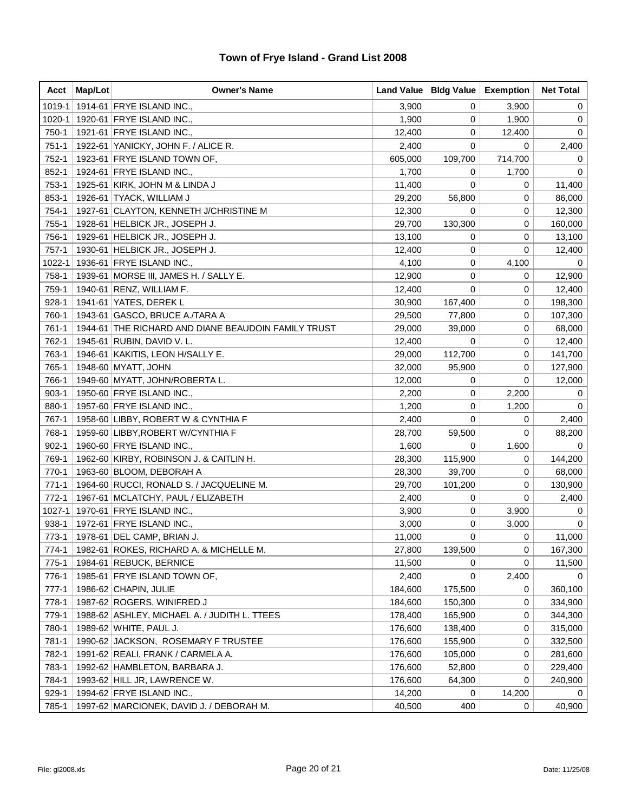| Acct      | Map/Lot | <b>Owner's Name</b>                                 |         | Land Value   Bldg Value | <b>Exemption</b> | <b>Net Total</b> |
|-----------|---------|-----------------------------------------------------|---------|-------------------------|------------------|------------------|
| 1019-1    |         | 1914-61 FRYE ISLAND INC.,                           | 3,900   | 0                       | 3,900            | 0                |
| 1020-1    |         | 1920-61 FRYE ISLAND INC.,                           | 1,900   | 0                       | 1,900            | 0                |
| 750-1     |         | 1921-61 FRYE ISLAND INC.,                           | 12,400  | 0                       | 12,400           | 0                |
| $751-1$   |         | 1922-61 YANICKY, JOHN F. / ALICE R.                 | 2,400   | 0                       | 0                | 2,400            |
| 752-1     |         | 1923-61 FRYE ISLAND TOWN OF,                        | 605,000 | 109,700                 | 714,700          | 0                |
| 852-1     |         | 1924-61 FRYE ISLAND INC.,                           | 1,700   | 0                       | 1,700            | 0                |
| 753-1     |         | 1925-61 KIRK, JOHN M & LINDA J                      | 11,400  | 0                       | 0                | 11,400           |
| 853-1     |         | 1926-61 TYACK, WILLIAM J                            | 29,200  | 56,800                  | 0                | 86,000           |
| 754-1     |         | 1927-61 CLAYTON, KENNETH J/CHRISTINE M              | 12,300  | 0                       | $\mathbf 0$      | 12,300           |
| $755-1$   |         | 1928-61 HELBICK JR., JOSEPH J.                      | 29,700  | 130,300                 | 0                | 160,000          |
| 756-1     |         | 1929-61 HELBICK JR., JOSEPH J.                      | 13,100  | 0                       | 0                | 13,100           |
| $757-1$   |         | 1930-61 HELBICK JR., JOSEPH J.                      | 12,400  | 0                       | 0                | 12,400           |
| 1022-1    |         | 1936-61 FRYE ISLAND INC.,                           | 4,100   | 0                       | 4,100            | 0                |
| 758-1     |         | 1939-61 MORSE III, JAMES H. / SALLY E.              | 12,900  | 0                       | 0                | 12,900           |
| 759-1     |         | 1940-61 RENZ, WILLIAM F.                            | 12,400  | 0                       | 0                | 12,400           |
| 928-1     |         | 1941-61 YATES, DEREK L                              | 30,900  | 167,400                 | 0                | 198,300          |
| 760-1     |         | 1943-61 GASCO, BRUCE A./TARA A                      | 29,500  | 77,800                  | 0                | 107,300          |
| 761-1     |         | 1944-61 THE RICHARD AND DIANE BEAUDOIN FAMILY TRUST | 29,000  | 39,000                  | 0                | 68,000           |
| 762-1     |         | 1945-61 RUBIN, DAVID V. L.                          | 12,400  | 0                       | 0                | 12,400           |
| 763-1     |         | 1946-61 KAKITIS, LEON H/SALLY E.                    | 29,000  | 112,700                 | 0                | 141,700          |
| 765-1     |         | 1948-60 MYATT, JOHN                                 | 32,000  | 95,900                  | 0                | 127,900          |
| 766-1     |         | 1949-60 MYATT, JOHN/ROBERTA L.                      | 12,000  | 0                       | 0                | 12,000           |
| $903-1$   |         | 1950-60 FRYE ISLAND INC.,                           | 2,200   | 0                       | 2,200            | 0                |
| 880-1     |         | 1957-60 FRYE ISLAND INC.,                           | 1,200   | 0                       | 1,200            | 0                |
| 767-1     |         | 1958-60 LIBBY, ROBERT W & CYNTHIA F                 | 2,400   | 0                       | 0                | 2,400            |
| 768-1     |         | 1959-60 LIBBY, ROBERT W/CYNTHIA F                   | 28,700  | 59,500                  | 0                | 88,200           |
| $902 - 1$ |         | 1960-60 FRYE ISLAND INC.,                           | 1,600   | 0                       | 1,600            | 0                |
| 769-1     |         | 1962-60 KIRBY, ROBINSON J. & CAITLIN H.             | 28,300  | 115,900                 | 0                | 144,200          |
| 770-1     |         | 1963-60 BLOOM, DEBORAH A                            | 28,300  | 39,700                  | 0                | 68,000           |
| $771-1$   |         | 1964-60 RUCCI, RONALD S. / JACQUELINE M.            | 29,700  | 101,200                 | 0                | 130,900          |
| $772-1$   |         | 1967-61   MCLATCHY, PAUL / ELIZABETH                | 2,400   | 0                       | 0                | 2,400            |
| 1027-1    |         | 1970-61 FRYE ISLAND INC.,                           | 3,900   | 0                       | 3,900            | 0                |
| $938-1$   |         | 1972-61 FRYE ISLAND INC.,                           | 3,000   | 0                       | 3,000            | 0                |
| 773-1     |         | 1978-61   DEL CAMP, BRIAN J.                        | 11,000  | 0                       | 0                | 11,000           |
| 774-1     |         | 1982-61 ROKES, RICHARD A. & MICHELLE M.             | 27,800  | 139,500                 | 0                | 167,300          |
| $775-1$   |         | 1984-61 REBUCK, BERNICE                             | 11,500  | 0                       | 0                | 11,500           |
| 776-1     |         | 1985-61 FRYE ISLAND TOWN OF,                        | 2,400   | 0                       | 2,400            | 0                |
| $777-1$   |         | 1986-62 CHAPIN, JULIE                               | 184,600 | 175,500                 | 0                | 360,100          |
| 778-1     |         | 1987-62 ROGERS, WINIFRED J                          | 184,600 | 150,300                 | 0                | 334,900          |
| 779-1     |         | 1988-62 ASHLEY, MICHAEL A. / JUDITH L. TTEES        | 178,400 | 165,900                 | 0                | 344,300          |
| 780-1     |         | 1989-62 WHITE, PAUL J.                              | 176,600 | 138,400                 | 0                | 315,000          |
| 781-1     |         | 1990-62 JACKSON, ROSEMARY F TRUSTEE                 | 176,600 | 155,900                 | 0                | 332,500          |
| 782-1     |         | 1991-62 REALI, FRANK / CARMELA A.                   | 176,600 | 105,000                 | 0                | 281,600          |
| 783-1     |         | 1992-62 HAMBLETON, BARBARA J.                       | 176,600 | 52,800                  | 0                | 229,400          |
| 784-1     |         | 1993-62 HILL JR, LAWRENCE W.                        | 176,600 | 64,300                  | 0                | 240,900          |
| 929-1     |         | 1994-62 FRYE ISLAND INC.,                           | 14,200  | 0                       | 14,200           | 0                |
| 785-1     |         | 1997-62 MARCIONEK, DAVID J. / DEBORAH M.            | 40,500  | 400                     | 0                | 40,900           |